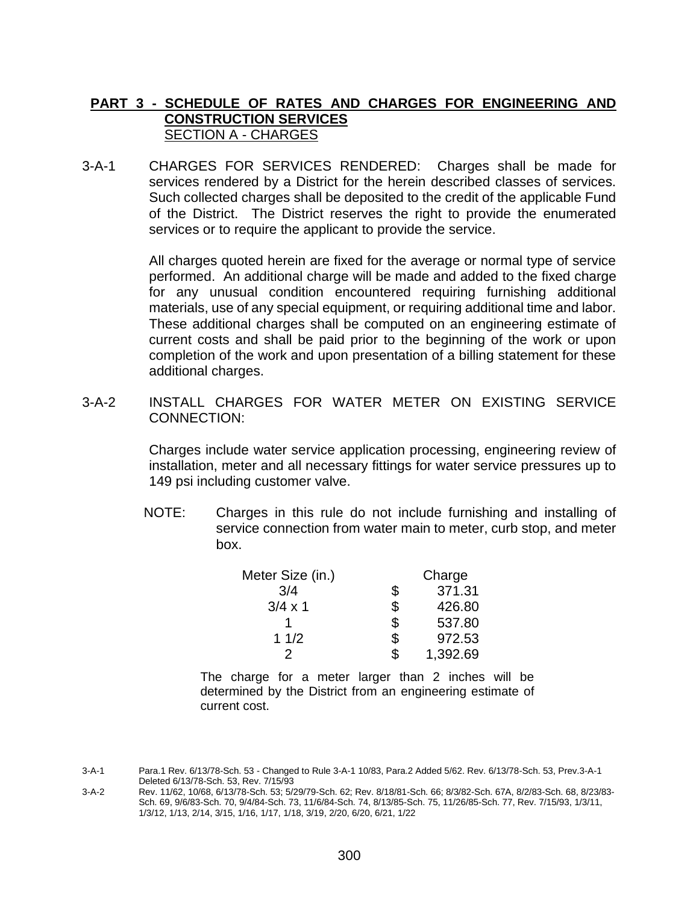3-A-1 CHARGES FOR SERVICES RENDERED: Charges shall be made for services rendered by a District for the herein described classes of services. Such collected charges shall be deposited to the credit of the applicable Fund of the District. The District reserves the right to provide the enumerated services or to require the applicant to provide the service.

> All charges quoted herein are fixed for the average or normal type of service performed. An additional charge will be made and added to the fixed charge for any unusual condition encountered requiring furnishing additional materials, use of any special equipment, or requiring additional time and labor. These additional charges shall be computed on an engineering estimate of current costs and shall be paid prior to the beginning of the work or upon completion of the work and upon presentation of a billing statement for these additional charges.

3-A-2 INSTALL CHARGES FOR WATER METER ON EXISTING SERVICE CONNECTION:

> Charges include water service application processing, engineering review of installation, meter and all necessary fittings for water service pressures up to 149 psi including customer valve.

NOTE: Charges in this rule do not include furnishing and installing of service connection from water main to meter, curb stop, and meter box.

| Meter Size (in.) | Charge         |
|------------------|----------------|
| 3/4              | \$<br>371.31   |
| $3/4 \times 1$   | \$<br>426.80   |
|                  | \$<br>537.80   |
| 11/2             | \$<br>972.53   |
| 2                | \$<br>1,392.69 |

The charge for a meter larger than 2 inches will be determined by the District from an engineering estimate of current cost.

3-A-2 Rev. 11/62, 10/68, 6/13/78-Sch. 53; 5/29/79-Sch. 62; Rev. 8/18/81-Sch. 66; 8/3/82-Sch. 67A, 8/2/83-Sch. 68, 8/23/83- Sch. 69, 9/6/83-Sch. 70, 9/4/84-Sch. 73, 11/6/84-Sch. 74, 8/13/85-Sch. 75, 11/26/85-Sch. 77, Rev. 7/15/93, 1/3/11, 1/3/12, 1/13, 2/14, 3/15, 1/16, 1/17, 1/18, 3/19, 2/20, 6/20, 6/21, 1/22

<sup>3-</sup>A-1 Para.1 Rev. 6/13/78-Sch. 53 - Changed to Rule 3-A-1 10/83, Para.2 Added 5/62. Rev. 6/13/78-Sch. 53, Prev.3-A-1 Deleted 6/13/78-Sch. 53, Rev. 7/15/93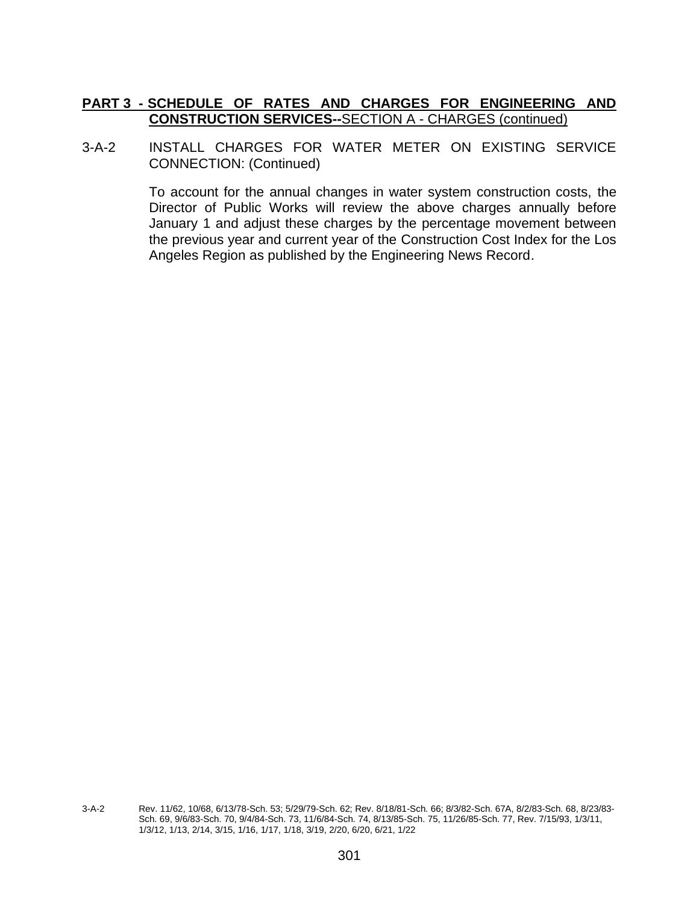## 3-A-2 INSTALL CHARGES FOR WATER METER ON EXISTING SERVICE CONNECTION: (Continued)

To account for the annual changes in water system construction costs, the Director of Public Works will review the above charges annually before January 1 and adjust these charges by the percentage movement between the previous year and current year of the Construction Cost Index for the Los Angeles Region as published by the Engineering News Record.

3-A-2 Rev. 11/62, 10/68, 6/13/78-Sch. 53; 5/29/79-Sch. 62; Rev. 8/18/81-Sch. 66; 8/3/82-Sch. 67A, 8/2/83-Sch. 68, 8/23/83- Sch. 69, 9/6/83-Sch. 70, 9/4/84-Sch. 73, 11/6/84-Sch. 74, 8/13/85-Sch. 75, 11/26/85-Sch. 77, Rev. 7/15/93, 1/3/11, 1/3/12, 1/13, 2/14, 3/15, 1/16, 1/17, 1/18, 3/19, 2/20, 6/20, 6/21, 1/22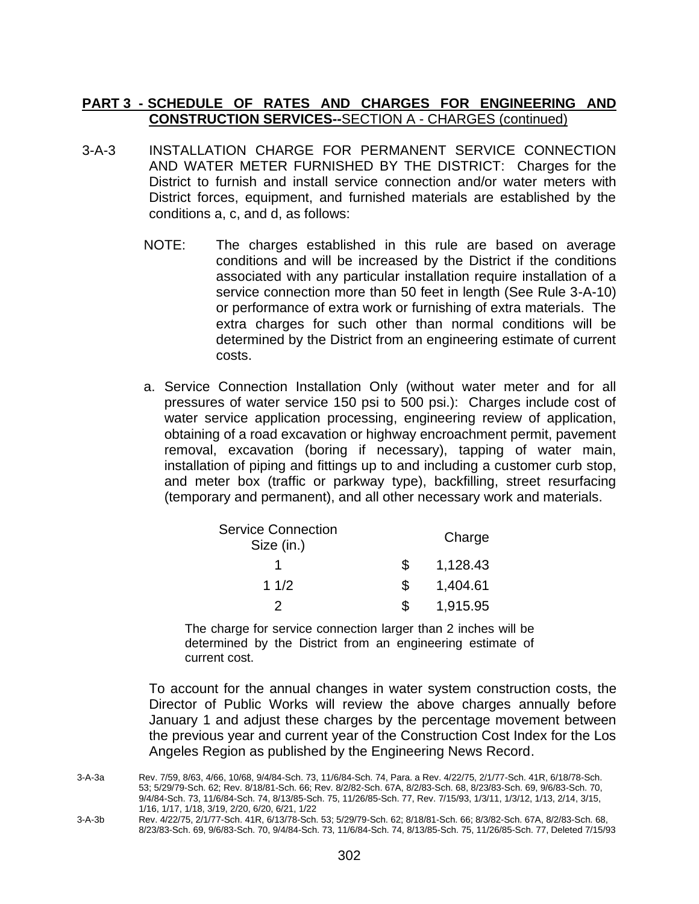- 3-A-3 INSTALLATION CHARGE FOR PERMANENT SERVICE CONNECTION AND WATER METER FURNISHED BY THE DISTRICT: Charges for the District to furnish and install service connection and/or water meters with District forces, equipment, and furnished materials are established by the conditions a, c, and d, as follows:
	- NOTE: The charges established in this rule are based on average conditions and will be increased by the District if the conditions associated with any particular installation require installation of a service connection more than 50 feet in length (See Rule 3-A-10) or performance of extra work or furnishing of extra materials. The extra charges for such other than normal conditions will be determined by the District from an engineering estimate of current costs.
	- a. Service Connection Installation Only (without water meter and for all pressures of water service 150 psi to 500 psi.): Charges include cost of water service application processing, engineering review of application, obtaining of a road excavation or highway encroachment permit, pavement removal, excavation (boring if necessary), tapping of water main, installation of piping and fittings up to and including a customer curb stop, and meter box (traffic or parkway type), backfilling, street resurfacing (temporary and permanent), and all other necessary work and materials.

| <b>Service Connection</b><br>Size (in.) |     | Charge   |
|-----------------------------------------|-----|----------|
|                                         | \$. | 1,128.43 |
| 11/2                                    | S   | 1,404.61 |
|                                         | S.  | 1,915.95 |

The charge for service connection larger than 2 inches will be determined by the District from an engineering estimate of current cost.

To account for the annual changes in water system construction costs, the Director of Public Works will review the above charges annually before January 1 and adjust these charges by the percentage movement between the previous year and current year of the Construction Cost Index for the Los Angeles Region as published by the Engineering News Record.

3-A-3b Rev. 4/22/75, 2/1/77-Sch. 41R, 6/13/78-Sch. 53; 5/29/79-Sch. 62; 8/18/81-Sch. 66; 8/3/82-Sch. 67A, 8/2/83-Sch. 68, 8/23/83-Sch. 69, 9/6/83-Sch. 70, 9/4/84-Sch. 73, 11/6/84-Sch. 74, 8/13/85-Sch. 75, 11/26/85-Sch. 77, Deleted 7/15/93

<sup>3-</sup>A-3a Rev. 7/59, 8/63, 4/66, 10/68, 9/4/84-Sch. 73, 11/6/84-Sch. 74, Para. a Rev. 4/22/75, 2/1/77-Sch. 41R, 6/18/78-Sch. 53; 5/29/79-Sch. 62; Rev. 8/18/81-Sch. 66; Rev. 8/2/82-Sch. 67A, 8/2/83-Sch. 68, 8/23/83-Sch. 69, 9/6/83-Sch. 70, 9/4/84-Sch. 73, 11/6/84-Sch. 74, 8/13/85-Sch. 75, 11/26/85-Sch. 77, Rev. 7/15/93, 1/3/11, 1/3/12, 1/13, 2/14, 3/15, 1/16, 1/17, 1/18, 3/19, 2/20, 6/20, 6/21, 1/22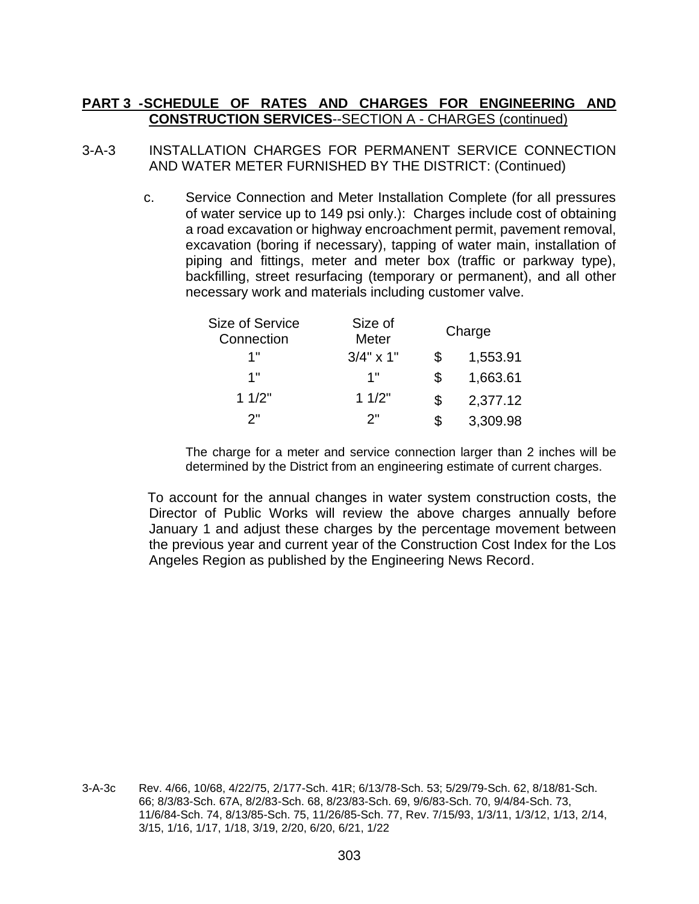#### 3-A-3 INSTALLATION CHARGES FOR PERMANENT SERVICE CONNECTION AND WATER METER FURNISHED BY THE DISTRICT: (Continued)

c. Service Connection and Meter Installation Complete (for all pressures of water service up to 149 psi only.): Charges include cost of obtaining a road excavation or highway encroachment permit, pavement removal, excavation (boring if necessary), tapping of water main, installation of piping and fittings, meter and meter box (traffic or parkway type), backfilling, street resurfacing (temporary or permanent), and all other necessary work and materials including customer valve.

| <b>Size of Service</b><br>Connection | Size of<br>Meter |    | Charge   |
|--------------------------------------|------------------|----|----------|
| 1"                                   | $3/4" \times 1"$ | \$ | 1,553.91 |
| 1"                                   | 1"               | S  | 1,663.61 |
| 11/2"                                | 11/2"            | \$ | 2,377.12 |
| 2"                                   | ?"               | \$ | 3,309.98 |

The charge for a meter and service connection larger than 2 inches will be determined by the District from an engineering estimate of current charges.

To account for the annual changes in water system construction costs, the Director of Public Works will review the above charges annually before January 1 and adjust these charges by the percentage movement between the previous year and current year of the Construction Cost Index for the Los Angeles Region as published by the Engineering News Record.

3-A-3c Rev. 4/66, 10/68, 4/22/75, 2/177-Sch. 41R; 6/13/78-Sch. 53; 5/29/79-Sch. 62, 8/18/81-Sch. 66; 8/3/83-Sch. 67A, 8/2/83-Sch. 68, 8/23/83-Sch. 69, 9/6/83-Sch. 70, 9/4/84-Sch. 73, 11/6/84-Sch. 74, 8/13/85-Sch. 75, 11/26/85-Sch. 77, Rev. 7/15/93, 1/3/11, 1/3/12, 1/13, 2/14, 3/15, 1/16, 1/17, 1/18, 3/19, 2/20, 6/20, 6/21, 1/22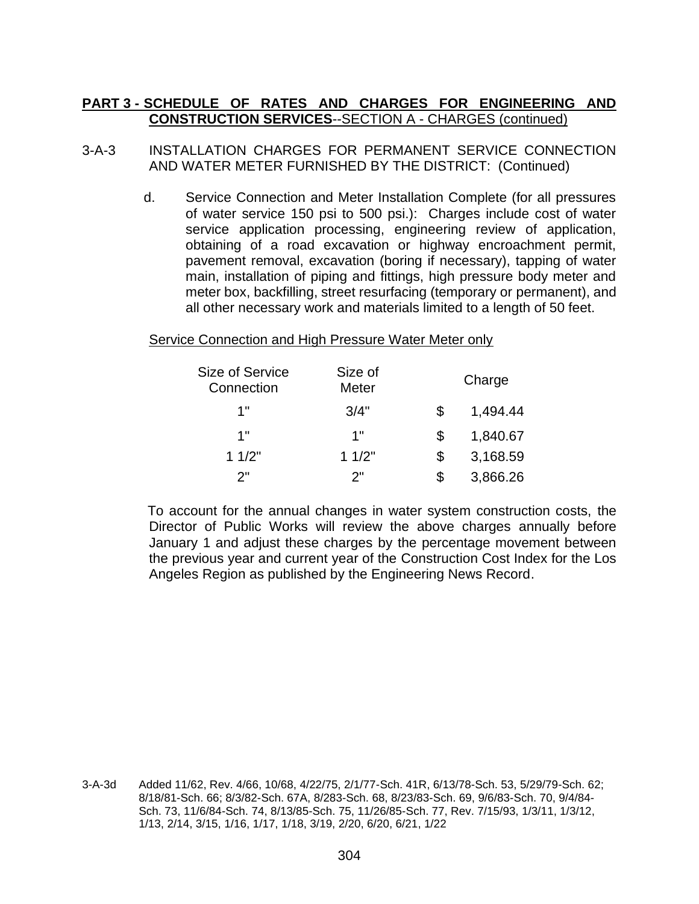#### 3-A-3 INSTALLATION CHARGES FOR PERMANENT SERVICE CONNECTION AND WATER METER FURNISHED BY THE DISTRICT: (Continued)

d. Service Connection and Meter Installation Complete (for all pressures of water service 150 psi to 500 psi.): Charges include cost of water service application processing, engineering review of application, obtaining of a road excavation or highway encroachment permit, pavement removal, excavation (boring if necessary), tapping of water main, installation of piping and fittings, high pressure body meter and meter box, backfilling, street resurfacing (temporary or permanent), and all other necessary work and materials limited to a length of 50 feet.

Service Connection and High Pressure Water Meter only

| <b>Size of Service</b><br>Connection | Size of<br>Meter |   | Charge   |
|--------------------------------------|------------------|---|----------|
| 1"                                   | 3/4"             | S | 1,494.44 |
| 1"                                   | 1"               |   | 1,840.67 |
| 11/2"                                | 11/2"            | S | 3,168.59 |
| ?"                                   | ?"               |   | 3,866.26 |

To account for the annual changes in water system construction costs, the Director of Public Works will review the above charges annually before January 1 and adjust these charges by the percentage movement between the previous year and current year of the Construction Cost Index for the Los Angeles Region as published by the Engineering News Record.

3-A-3d Added 11/62, Rev. 4/66, 10/68, 4/22/75, 2/1/77-Sch. 41R, 6/13/78-Sch. 53, 5/29/79-Sch. 62; 8/18/81-Sch. 66; 8/3/82-Sch. 67A, 8/283-Sch. 68, 8/23/83-Sch. 69, 9/6/83-Sch. 70, 9/4/84- Sch. 73, 11/6/84-Sch. 74, 8/13/85-Sch. 75, 11/26/85-Sch. 77, Rev. 7/15/93, 1/3/11, 1/3/12, 1/13, 2/14, 3/15, 1/16, 1/17, 1/18, 3/19, 2/20, 6/20, 6/21, 1/22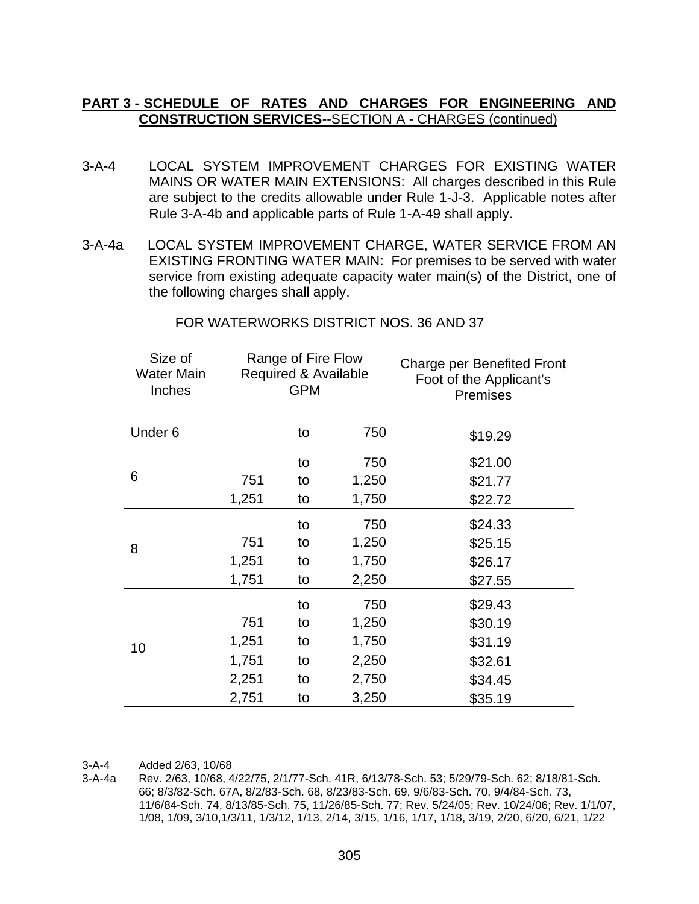- 3-A-4 LOCAL SYSTEM IMPROVEMENT CHARGES FOR EXISTING WATER MAINS OR WATER MAIN EXTENSIONS: All charges described in this Rule are subject to the credits allowable under Rule 1-J-3. Applicable notes after Rule 3-A-4b and applicable parts of Rule 1-A-49 shall apply.
- 3-A-4a LOCAL SYSTEM IMPROVEMENT CHARGE, WATER SERVICE FROM AN EXISTING FRONTING WATER MAIN: For premises to be served with water service from existing adequate capacity water main(s) of the District, one of the following charges shall apply.

| Size of<br><b>Water Main</b><br>Inches | Range of Fire Flow<br>Required & Available<br><b>GPM</b> |    |       | Charge per Benefited Front<br>Foot of the Applicant's<br>Premises |
|----------------------------------------|----------------------------------------------------------|----|-------|-------------------------------------------------------------------|
| Under <sub>6</sub>                     |                                                          | to | 750   | \$19.29                                                           |
|                                        |                                                          |    |       |                                                                   |
|                                        |                                                          | to | 750   | \$21.00                                                           |
| 6                                      | 751                                                      | to | 1,250 | \$21.77                                                           |
|                                        | 1,251                                                    | to | 1,750 | \$22.72                                                           |
|                                        |                                                          | to | 750   | \$24.33                                                           |
| 8                                      | 751                                                      | to | 1,250 | \$25.15                                                           |
|                                        | 1,251                                                    | to | 1,750 | \$26.17                                                           |
|                                        | 1,751                                                    | to | 2,250 | \$27.55                                                           |
|                                        |                                                          | to | 750   | \$29.43                                                           |
|                                        | 751                                                      | to | 1,250 | \$30.19                                                           |
| 10                                     | 1,251                                                    | to | 1,750 | \$31.19                                                           |
|                                        | 1,751                                                    | to | 2,250 | \$32.61                                                           |
|                                        | 2,251                                                    | to | 2,750 | \$34.45                                                           |
|                                        | 2,751                                                    | to | 3,250 | \$35.19                                                           |

FOR WATERWORKS DISTRICT NOS. 36 AND 37

3-A-4 Added 2/63, 10/68

3-A-4a Rev. 2/63, 10/68, 4/22/75, 2/1/77-Sch. 41R, 6/13/78-Sch. 53; 5/29/79-Sch. 62; 8/18/81-Sch. 66; 8/3/82-Sch. 67A, 8/2/83-Sch. 68, 8/23/83-Sch. 69, 9/6/83-Sch. 70, 9/4/84-Sch. 73, 11/6/84-Sch. 74, 8/13/85-Sch. 75, 11/26/85-Sch. 77; Rev. 5/24/05; Rev. 10/24/06; Rev. 1/1/07, 1/08, 1/09, 3/10,1/3/11, 1/3/12, 1/13, 2/14, 3/15, 1/16, 1/17, 1/18, 3/19, 2/20, 6/20, 6/21, 1/22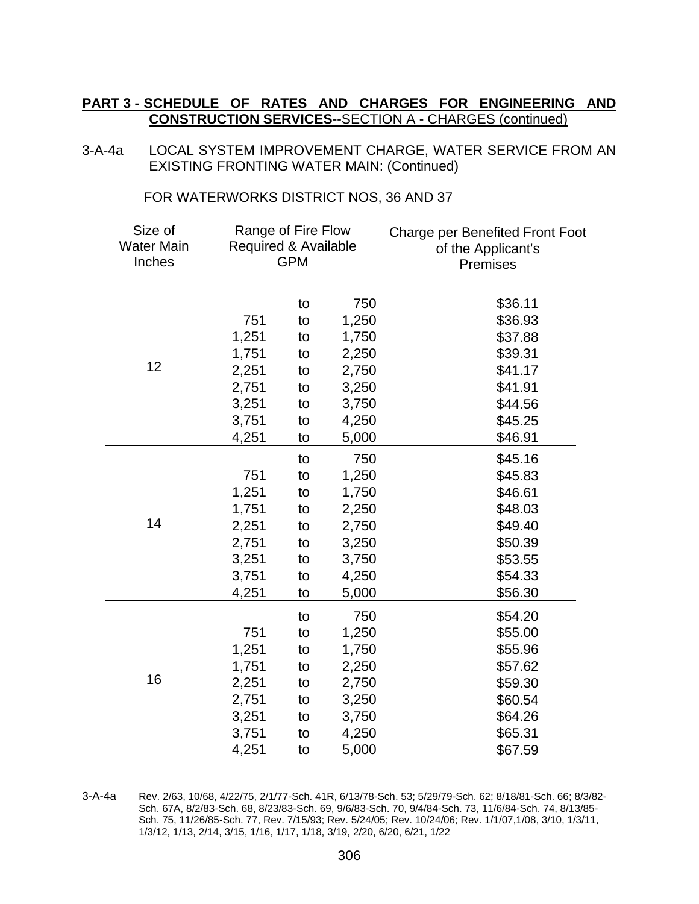3-A-4a LOCAL SYSTEM IMPROVEMENT CHARGE, WATER SERVICE FROM AN EXISTING FRONTING WATER MAIN: (Continued)

FOR WATERWORKS DISTRICT NOS, 36 AND 37

| Size of           | Range of Fire Flow   |            |       | <b>Charge per Benefited Front Foot</b> |  |
|-------------------|----------------------|------------|-------|----------------------------------------|--|
| <b>Water Main</b> | Required & Available |            |       | of the Applicant's                     |  |
| Inches            |                      | <b>GPM</b> |       | Premises                               |  |
|                   |                      |            |       |                                        |  |
|                   |                      | to         | 750   | \$36.11                                |  |
|                   | 751                  | to         | 1,250 | \$36.93                                |  |
|                   | 1,251                | to         | 1,750 | \$37.88                                |  |
|                   | 1,751                | to         | 2,250 | \$39.31                                |  |
| 12                | 2,251                | to         | 2,750 | \$41.17                                |  |
|                   | 2,751                | to         | 3,250 | \$41.91                                |  |
|                   | 3,251                | to         | 3,750 | \$44.56                                |  |
|                   | 3,751                | to         | 4,250 | \$45.25                                |  |
|                   | 4,251                | to         | 5,000 | \$46.91                                |  |
|                   |                      | to         | 750   | \$45.16                                |  |
|                   | 751                  | to         | 1,250 | \$45.83                                |  |
|                   | 1,251                | to         | 1,750 | \$46.61                                |  |
|                   | 1,751                | to         | 2,250 | \$48.03                                |  |
| 14                | 2,251                | to         | 2,750 | \$49.40                                |  |
|                   | 2,751                | to         | 3,250 | \$50.39                                |  |
|                   | 3,251                | to         | 3,750 | \$53.55                                |  |
|                   | 3,751                | to         | 4,250 | \$54.33                                |  |
|                   | 4,251                | to         | 5,000 | \$56.30                                |  |
|                   |                      | to         | 750   | \$54.20                                |  |
|                   | 751                  | to         | 1,250 | \$55.00                                |  |
|                   | 1,251                | to         | 1,750 | \$55.96                                |  |
|                   | 1,751                | to         | 2,250 | \$57.62                                |  |
| 16                | 2,251                | to         | 2,750 | \$59.30                                |  |
|                   | 2,751                | to         | 3,250 | \$60.54                                |  |
|                   | 3,251                | to         | 3,750 | \$64.26                                |  |
|                   | 3,751                | to         | 4,250 | \$65.31                                |  |
|                   | 4,251                | to         | 5,000 | \$67.59                                |  |

3-A-4a Rev. 2/63, 10/68, 4/22/75, 2/1/77-Sch. 41R, 6/13/78-Sch. 53; 5/29/79-Sch. 62; 8/18/81-Sch. 66; 8/3/82- Sch. 67A, 8/2/83-Sch. 68, 8/23/83-Sch. 69, 9/6/83-Sch. 70, 9/4/84-Sch. 73, 11/6/84-Sch. 74, 8/13/85- Sch. 75, 11/26/85-Sch. 77, Rev. 7/15/93; Rev. 5/24/05; Rev. 10/24/06; Rev. 1/1/07,1/08, 3/10, 1/3/11, 1/3/12, 1/13, 2/14, 3/15, 1/16, 1/17, 1/18, 3/19, 2/20, 6/20, 6/21, 1/22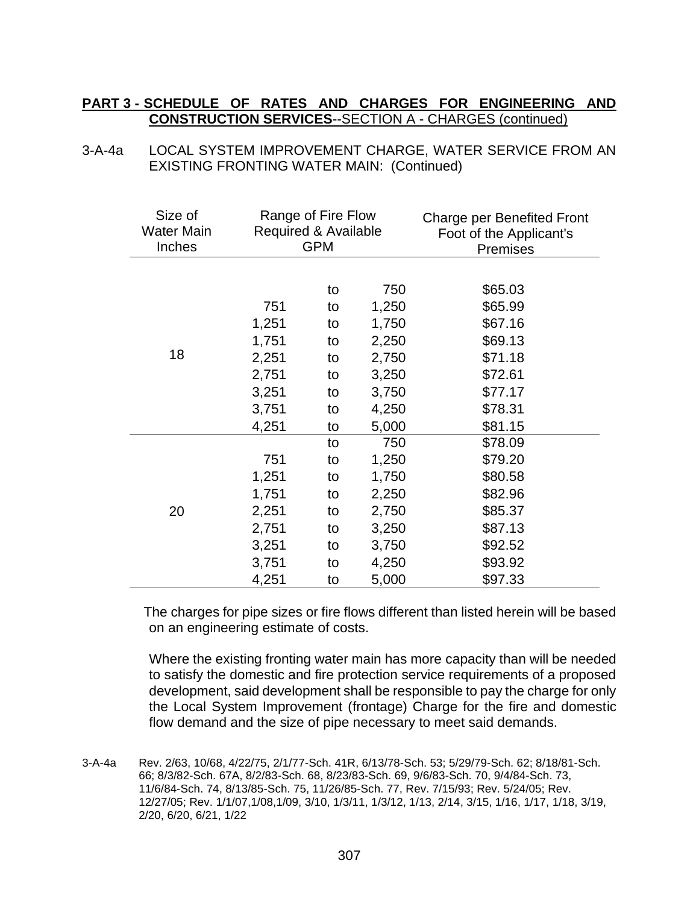3-A-4a LOCAL SYSTEM IMPROVEMENT CHARGE, WATER SERVICE FROM AN EXISTING FRONTING WATER MAIN: (Continued)

| Size of<br>Water Main<br>Inches | Range of Fire Flow<br><b>Required &amp; Available</b><br><b>GPM</b> |    |       | Charge per Benefited Front<br>Foot of the Applicant's<br><b>Premises</b> |
|---------------------------------|---------------------------------------------------------------------|----|-------|--------------------------------------------------------------------------|
|                                 |                                                                     |    |       |                                                                          |
|                                 |                                                                     | to | 750   | \$65.03                                                                  |
|                                 | 751                                                                 | to | 1,250 | \$65.99                                                                  |
|                                 | 1,251                                                               | to | 1,750 | \$67.16                                                                  |
|                                 | 1,751                                                               | to | 2,250 | \$69.13                                                                  |
| 18                              | 2,251                                                               | to | 2,750 | \$71.18                                                                  |
|                                 | 2,751                                                               | to | 3,250 | \$72.61                                                                  |
|                                 | 3,251                                                               | to | 3,750 | \$77.17                                                                  |
|                                 | 3,751                                                               | to | 4,250 | \$78.31                                                                  |
|                                 | 4,251                                                               | to | 5,000 | \$81.15                                                                  |
|                                 |                                                                     | to | 750   | \$78.09                                                                  |
|                                 | 751                                                                 | to | 1,250 | \$79.20                                                                  |
|                                 | 1,251                                                               | to | 1,750 | \$80.58                                                                  |
|                                 | 1,751                                                               | to | 2,250 | \$82.96                                                                  |
| 20                              | 2,251                                                               | to | 2,750 | \$85.37                                                                  |
|                                 | 2,751                                                               | to | 3,250 | \$87.13                                                                  |
|                                 | 3,251                                                               | to | 3,750 | \$92.52                                                                  |
|                                 | 3,751                                                               | to | 4,250 | \$93.92                                                                  |
|                                 | 4,251                                                               | to | 5,000 | \$97.33                                                                  |

The charges for pipe sizes or fire flows different than listed herein will be based on an engineering estimate of costs.

Where the existing fronting water main has more capacity than will be needed to satisfy the domestic and fire protection service requirements of a proposed development, said development shall be responsible to pay the charge for only the Local System Improvement (frontage) Charge for the fire and domestic flow demand and the size of pipe necessary to meet said demands.

3-A-4a Rev. 2/63, 10/68, 4/22/75, 2/1/77-Sch. 41R, 6/13/78-Sch. 53; 5/29/79-Sch. 62; 8/18/81-Sch. 66; 8/3/82-Sch. 67A, 8/2/83-Sch. 68, 8/23/83-Sch. 69, 9/6/83-Sch. 70, 9/4/84-Sch. 73, 11/6/84-Sch. 74, 8/13/85-Sch. 75, 11/26/85-Sch. 77, Rev. 7/15/93; Rev. 5/24/05; Rev. 12/27/05; Rev. 1/1/07,1/08,1/09, 3/10, 1/3/11, 1/3/12, 1/13, 2/14, 3/15, 1/16, 1/17, 1/18, 3/19, 2/20, 6/20, 6/21, 1/22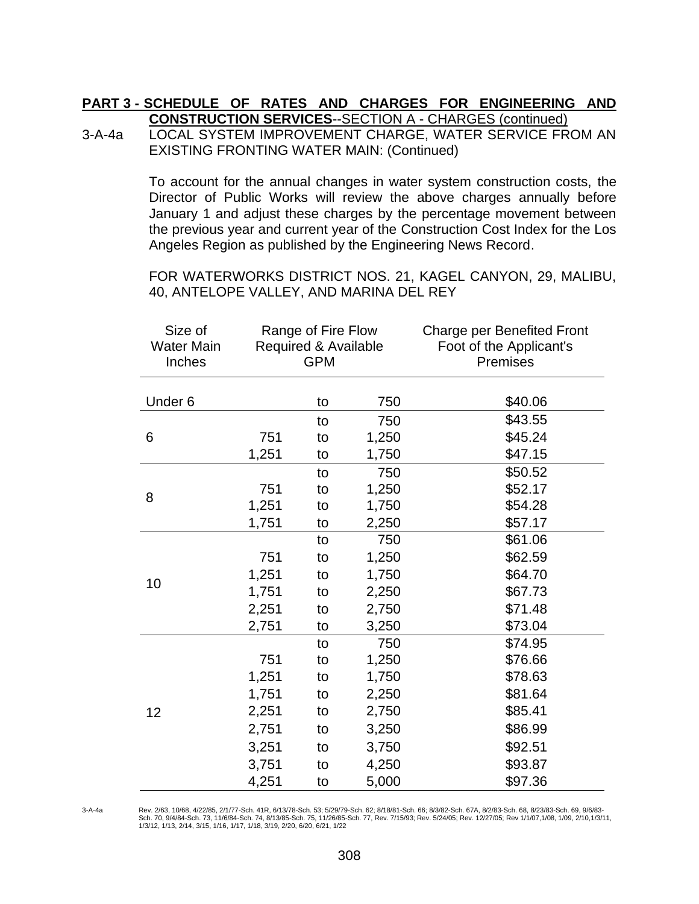3-A-4a LOCAL SYSTEM IMPROVEMENT CHARGE, WATER SERVICE FROM AN EXISTING FRONTING WATER MAIN: (Continued)

> To account for the annual changes in water system construction costs, the Director of Public Works will review the above charges annually before January 1 and adjust these charges by the percentage movement between the previous year and current year of the Construction Cost Index for the Los Angeles Region as published by the Engineering News Record.

> FOR WATERWORKS DISTRICT NOS. 21, KAGEL CANYON, 29, MALIBU, 40, ANTELOPE VALLEY, AND MARINA DEL REY

| Size of<br><b>Water Main</b><br>Inches |       | Range of Fire Flow<br>Required & Available<br><b>GPM</b> |       | <b>Charge per Benefited Front</b><br>Foot of the Applicant's<br><b>Premises</b> |
|----------------------------------------|-------|----------------------------------------------------------|-------|---------------------------------------------------------------------------------|
| Under <sub>6</sub>                     |       | to                                                       | 750   | \$40.06                                                                         |
|                                        |       | to                                                       | 750   | \$43.55                                                                         |
| 6                                      | 751   | to                                                       | 1,250 | \$45.24                                                                         |
|                                        | 1,251 | to                                                       | 1,750 | \$47.15                                                                         |
|                                        |       | to                                                       | 750   | \$50.52                                                                         |
| 8                                      | 751   | to                                                       | 1,250 | \$52.17                                                                         |
|                                        | 1,251 | to                                                       | 1,750 | \$54.28                                                                         |
|                                        | 1,751 | to                                                       | 2,250 | \$57.17                                                                         |
|                                        |       | to                                                       | 750   | \$61.06                                                                         |
|                                        | 751   | to                                                       | 1,250 | \$62.59                                                                         |
| 10                                     | 1,251 | to                                                       | 1,750 | \$64.70                                                                         |
|                                        | 1,751 | to                                                       | 2,250 | \$67.73                                                                         |
|                                        | 2,251 | to                                                       | 2,750 | \$71.48                                                                         |
|                                        | 2,751 | to                                                       | 3,250 | \$73.04                                                                         |
|                                        |       | to                                                       | 750   | \$74.95                                                                         |
|                                        | 751   | to                                                       | 1,250 | \$76.66                                                                         |
|                                        | 1,251 | to                                                       | 1,750 | \$78.63                                                                         |
|                                        | 1,751 | to                                                       | 2,250 | \$81.64                                                                         |
| 12                                     | 2,251 | to                                                       | 2,750 | \$85.41                                                                         |
|                                        | 2,751 | to                                                       | 3,250 | \$86.99                                                                         |
|                                        | 3,251 | to                                                       | 3,750 | \$92.51                                                                         |
|                                        | 3,751 | to                                                       | 4,250 | \$93.87                                                                         |
|                                        | 4,251 | to                                                       | 5,000 | \$97.36                                                                         |

3-A-4a Rev. 2/63, 10/68, 4/22/85, 2/1/77-Sch. 41R, 6/13/78-Sch. 53; 5/29/79-Sch. 62; 8/18/81-Sch. 66; 8/3/82-Sch. 67A, 8/2/83-Sch. 68, 8/23/83-Sch. 69, 9/6/83- Sch. 70, 9/4/84-Sch. 73, 11/6/84-Sch. 74, 8/13/85-Sch. 75, 11/26/85-Sch. 77, Rev. 7/15/93; Rev. 5/24/05; Rev. 12/27/05; Rev 1/1/07,1/08, 1/09, 2/10,1/3/11,<br>1/3/12, 1/13, 2/14, 3/15, 1/16, 1/17, 1/18, 3/19, 2/20, 6/20, 6/21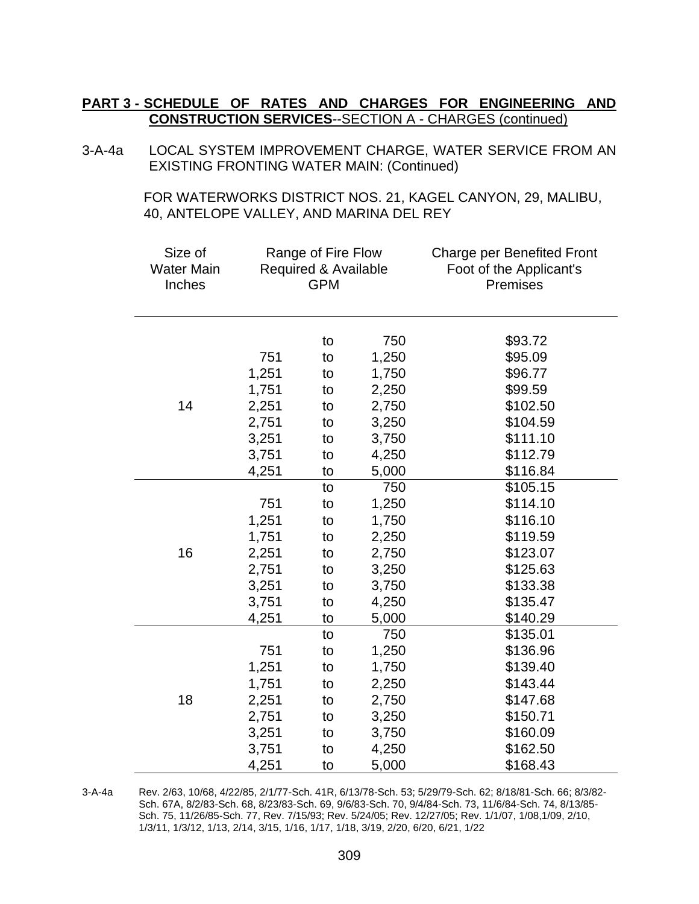3-A-4a LOCAL SYSTEM IMPROVEMENT CHARGE, WATER SERVICE FROM AN EXISTING FRONTING WATER MAIN: (Continued)

> FOR WATERWORKS DISTRICT NOS. 21, KAGEL CANYON, 29, MALIBU, 40, ANTELOPE VALLEY, AND MARINA DEL REY

| Size of<br><b>Water Main</b><br>Inches | Range of Fire Flow<br>Required & Available<br><b>GPM</b> |    |       | <b>Charge per Benefited Front</b><br>Foot of the Applicant's<br><b>Premises</b> |
|----------------------------------------|----------------------------------------------------------|----|-------|---------------------------------------------------------------------------------|
|                                        |                                                          | to | 750   | \$93.72                                                                         |
|                                        | 751                                                      | to | 1,250 | \$95.09                                                                         |
|                                        | 1,251                                                    | to | 1,750 | \$96.77                                                                         |
|                                        | 1,751                                                    | to | 2,250 | \$99.59                                                                         |
| 14                                     | 2,251                                                    | to | 2,750 | \$102.50                                                                        |
|                                        | 2,751                                                    | to | 3,250 | \$104.59                                                                        |
|                                        | 3,251                                                    | to | 3,750 | \$111.10                                                                        |
|                                        | 3,751                                                    | to | 4,250 | \$112.79                                                                        |
|                                        | 4,251                                                    | to | 5,000 | \$116.84                                                                        |
|                                        |                                                          | to | 750   | \$105.15                                                                        |
|                                        | 751                                                      | to | 1,250 | \$114.10                                                                        |
|                                        | 1,251                                                    | to | 1,750 | \$116.10                                                                        |
|                                        | 1,751                                                    | to | 2,250 | \$119.59                                                                        |
| 16                                     | 2,251                                                    | to | 2,750 | \$123.07                                                                        |
|                                        | 2,751                                                    | to | 3,250 | \$125.63                                                                        |
|                                        | 3,251                                                    | to | 3,750 | \$133.38                                                                        |
|                                        | 3,751                                                    | to | 4,250 | \$135.47                                                                        |
|                                        | 4,251                                                    | to | 5,000 | \$140.29                                                                        |
|                                        |                                                          | to | 750   | \$135.01                                                                        |
|                                        | 751                                                      | to | 1,250 | \$136.96                                                                        |
|                                        | 1,251                                                    | to | 1,750 | \$139.40                                                                        |
|                                        | 1,751                                                    | to | 2,250 | \$143.44                                                                        |
| 18                                     | 2,251                                                    | to | 2,750 | \$147.68                                                                        |
|                                        | 2,751                                                    | to | 3,250 | \$150.71                                                                        |
|                                        | 3,251                                                    | to | 3,750 | \$160.09                                                                        |
|                                        | 3,751                                                    | to | 4,250 | \$162.50                                                                        |
|                                        | 4,251                                                    | to | 5,000 | \$168.43                                                                        |

3-A-4a Rev. 2/63, 10/68, 4/22/85, 2/1/77-Sch. 41R, 6/13/78-Sch. 53; 5/29/79-Sch. 62; 8/18/81-Sch. 66; 8/3/82- Sch. 67A, 8/2/83-Sch. 68, 8/23/83-Sch. 69, 9/6/83-Sch. 70, 9/4/84-Sch. 73, 11/6/84-Sch. 74, 8/13/85- Sch. 75, 11/26/85-Sch. 77, Rev. 7/15/93; Rev. 5/24/05; Rev. 12/27/05; Rev. 1/1/07, 1/08,1/09, 2/10, 1/3/11, 1/3/12, 1/13, 2/14, 3/15, 1/16, 1/17, 1/18, 3/19, 2/20, 6/20, 6/21, 1/22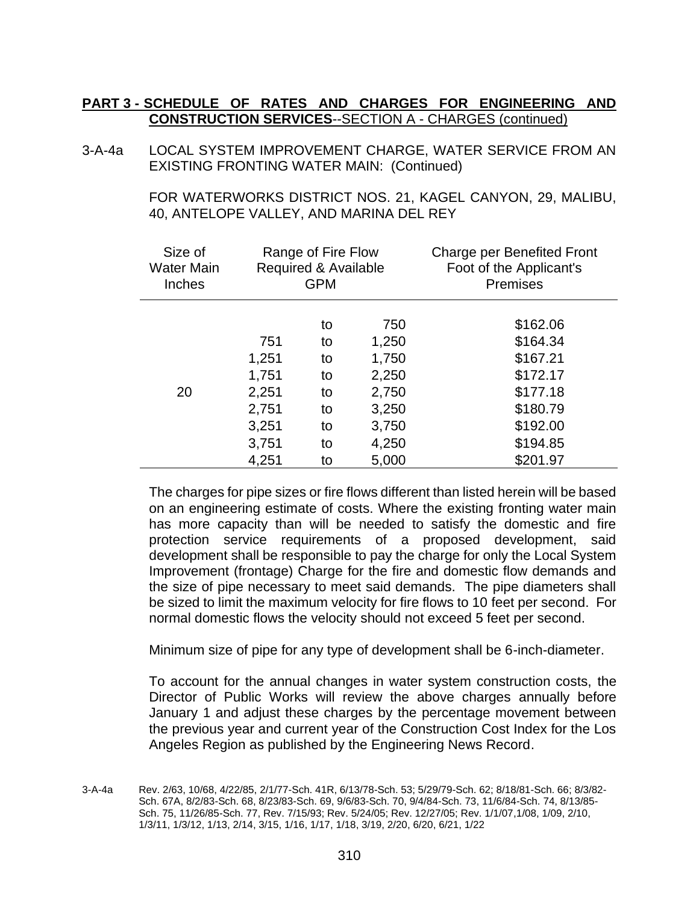3-A-4a LOCAL SYSTEM IMPROVEMENT CHARGE, WATER SERVICE FROM AN EXISTING FRONTING WATER MAIN: (Continued)

> FOR WATERWORKS DISTRICT NOS. 21, KAGEL CANYON, 29, MALIBU, 40, ANTELOPE VALLEY, AND MARINA DEL REY

| Size of<br><b>Water Main</b><br><b>Inches</b> | Range of Fire Flow<br>Required & Available<br><b>GPM</b> |    |       | Charge per Benefited Front<br>Foot of the Applicant's<br><b>Premises</b> |
|-----------------------------------------------|----------------------------------------------------------|----|-------|--------------------------------------------------------------------------|
|                                               |                                                          | to | 750   | \$162.06                                                                 |
|                                               | 751                                                      | to | 1,250 | \$164.34                                                                 |
|                                               | 1,251                                                    | to | 1,750 | \$167.21                                                                 |
|                                               | 1,751                                                    | to | 2,250 | \$172.17                                                                 |
| 20                                            | 2,251                                                    | to | 2,750 | \$177.18                                                                 |
|                                               | 2,751                                                    | to | 3,250 | \$180.79                                                                 |
|                                               | 3,251                                                    | to | 3,750 | \$192.00                                                                 |
|                                               | 3,751                                                    | to | 4,250 | \$194.85                                                                 |
|                                               | 4,251                                                    | to | 5,000 | \$201.97                                                                 |

The charges for pipe sizes or fire flows different than listed herein will be based on an engineering estimate of costs. Where the existing fronting water main has more capacity than will be needed to satisfy the domestic and fire protection service requirements of a proposed development, said development shall be responsible to pay the charge for only the Local System Improvement (frontage) Charge for the fire and domestic flow demands and the size of pipe necessary to meet said demands. The pipe diameters shall be sized to limit the maximum velocity for fire flows to 10 feet per second. For normal domestic flows the velocity should not exceed 5 feet per second.

Minimum size of pipe for any type of development shall be 6-inch-diameter.

To account for the annual changes in water system construction costs, the Director of Public Works will review the above charges annually before January 1 and adjust these charges by the percentage movement between the previous year and current year of the Construction Cost Index for the Los Angeles Region as published by the Engineering News Record.

<sup>3-</sup>A-4a Rev. 2/63, 10/68, 4/22/85, 2/1/77-Sch. 41R, 6/13/78-Sch. 53; 5/29/79-Sch. 62; 8/18/81-Sch. 66; 8/3/82- Sch. 67A, 8/2/83-Sch. 68, 8/23/83-Sch. 69, 9/6/83-Sch. 70, 9/4/84-Sch. 73, 11/6/84-Sch. 74, 8/13/85- Sch. 75, 11/26/85-Sch. 77, Rev. 7/15/93; Rev. 5/24/05; Rev. 12/27/05; Rev. 1/1/07,1/08, 1/09, 2/10, 1/3/11, 1/3/12, 1/13, 2/14, 3/15, 1/16, 1/17, 1/18, 3/19, 2/20, 6/20, 6/21, 1/22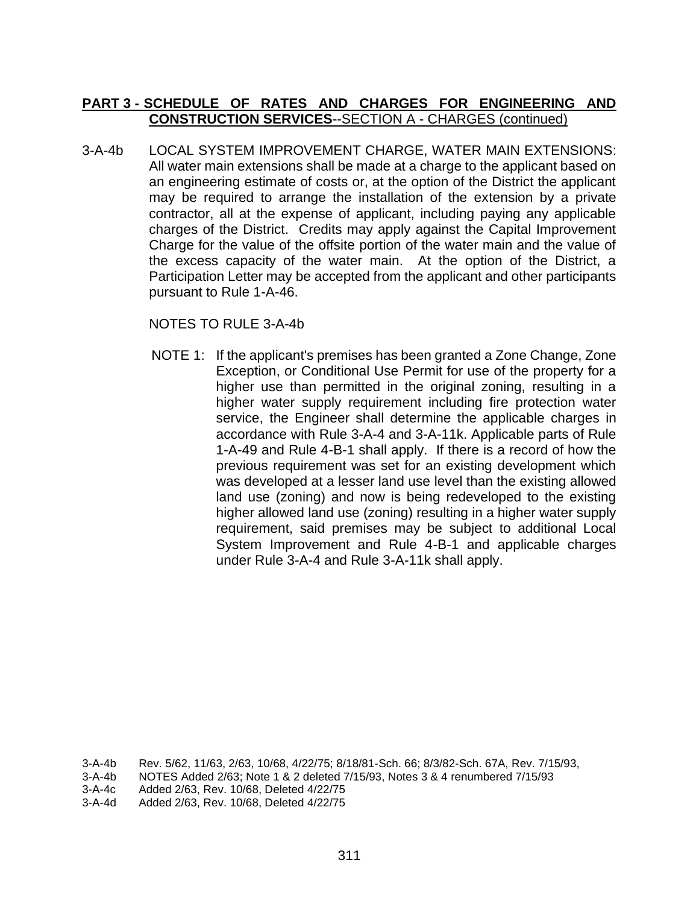3-A-4b LOCAL SYSTEM IMPROVEMENT CHARGE, WATER MAIN EXTENSIONS: All water main extensions shall be made at a charge to the applicant based on an engineering estimate of costs or, at the option of the District the applicant may be required to arrange the installation of the extension by a private contractor, all at the expense of applicant, including paying any applicable charges of the District. Credits may apply against the Capital Improvement Charge for the value of the offsite portion of the water main and the value of the excess capacity of the water main. At the option of the District, a Participation Letter may be accepted from the applicant and other participants pursuant to Rule 1-A-46.

NOTES TO RULE 3-A-4b

 NOTE 1: If the applicant's premises has been granted a Zone Change, Zone Exception, or Conditional Use Permit for use of the property for a higher use than permitted in the original zoning, resulting in a higher water supply requirement including fire protection water service, the Engineer shall determine the applicable charges in accordance with Rule 3-A-4 and 3-A-11k. Applicable parts of Rule 1-A-49 and Rule 4-B-1 shall apply. If there is a record of how the previous requirement was set for an existing development which was developed at a lesser land use level than the existing allowed land use (zoning) and now is being redeveloped to the existing higher allowed land use (zoning) resulting in a higher water supply requirement, said premises may be subject to additional Local System Improvement and Rule 4-B-1 and applicable charges under Rule 3-A-4 and Rule 3-A-11k shall apply.

- 3-A-4b NOTES Added 2/63; Note 1 & 2 deleted 7/15/93, Notes 3 & 4 renumbered 7/15/93
- 3-A-4c Added 2/63, Rev. 10/68, Deleted 4/22/75
- 3-A-4d Added 2/63, Rev. 10/68, Deleted 4/22/75

<sup>3-</sup>A-4b Rev. 5/62, 11/63, 2/63, 10/68, 4/22/75; 8/18/81-Sch. 66; 8/3/82-Sch. 67A, Rev. 7/15/93,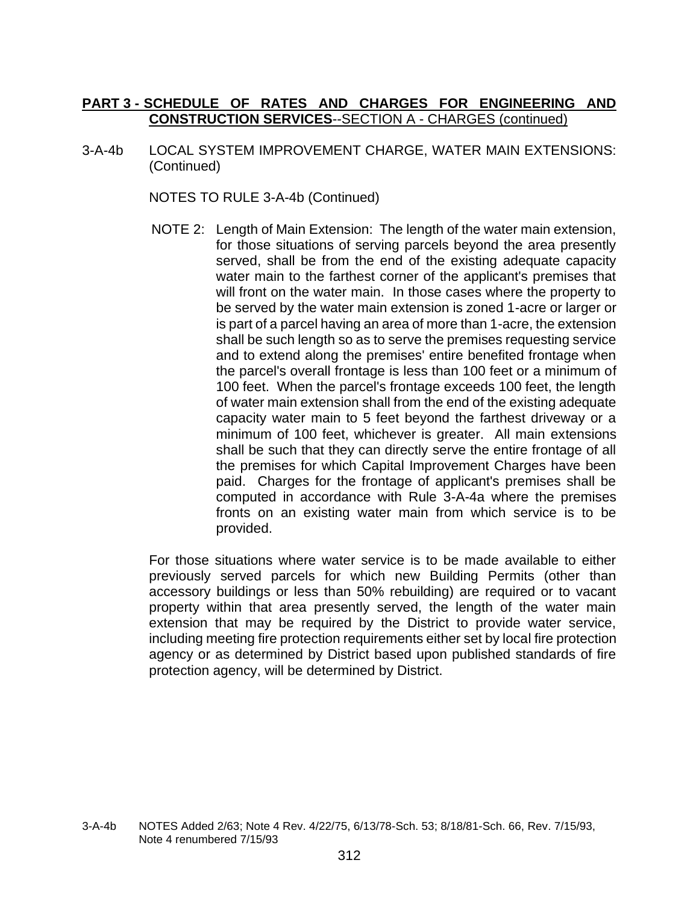3-A-4b LOCAL SYSTEM IMPROVEMENT CHARGE, WATER MAIN EXTENSIONS: (Continued)

NOTES TO RULE 3-A-4b (Continued)

 NOTE 2: Length of Main Extension: The length of the water main extension, for those situations of serving parcels beyond the area presently served, shall be from the end of the existing adequate capacity water main to the farthest corner of the applicant's premises that will front on the water main. In those cases where the property to be served by the water main extension is zoned 1-acre or larger or is part of a parcel having an area of more than 1-acre, the extension shall be such length so as to serve the premises requesting service and to extend along the premises' entire benefited frontage when the parcel's overall frontage is less than 100 feet or a minimum of 100 feet. When the parcel's frontage exceeds 100 feet, the length of water main extension shall from the end of the existing adequate capacity water main to 5 feet beyond the farthest driveway or a minimum of 100 feet, whichever is greater. All main extensions shall be such that they can directly serve the entire frontage of all the premises for which Capital Improvement Charges have been paid. Charges for the frontage of applicant's premises shall be computed in accordance with Rule 3-A-4a where the premises fronts on an existing water main from which service is to be provided.

For those situations where water service is to be made available to either previously served parcels for which new Building Permits (other than accessory buildings or less than 50% rebuilding) are required or to vacant property within that area presently served, the length of the water main extension that may be required by the District to provide water service, including meeting fire protection requirements either set by local fire protection agency or as determined by District based upon published standards of fire protection agency, will be determined by District.

<sup>3-</sup>A-4b NOTES Added 2/63; Note 4 Rev. 4/22/75, 6/13/78-Sch. 53; 8/18/81-Sch. 66, Rev. 7/15/93, Note 4 renumbered 7/15/93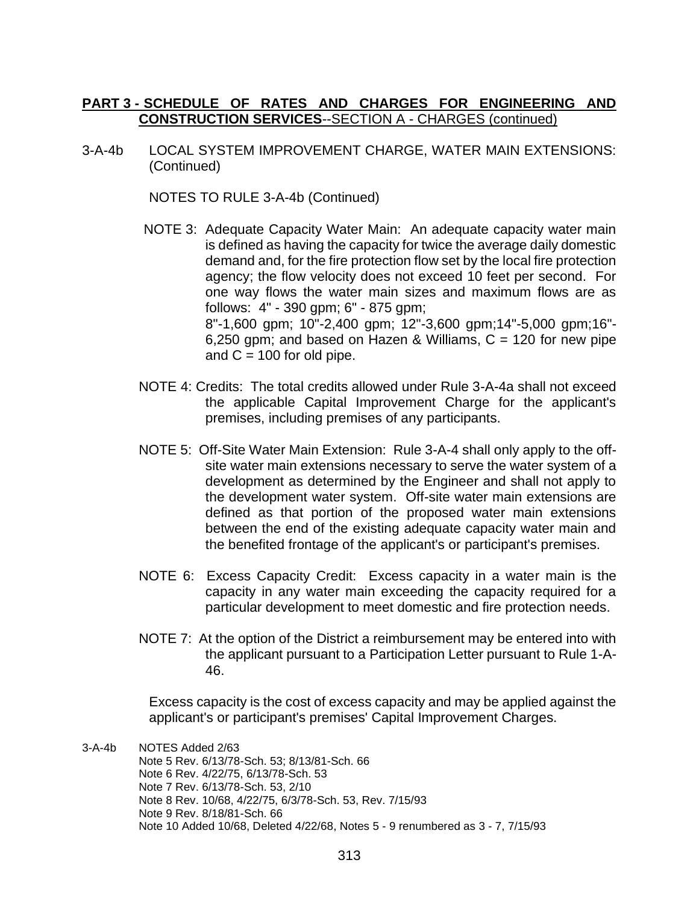3-A-4b LOCAL SYSTEM IMPROVEMENT CHARGE, WATER MAIN EXTENSIONS: (Continued)

NOTES TO RULE 3-A-4b (Continued)

- NOTE 3: Adequate Capacity Water Main: An adequate capacity water main is defined as having the capacity for twice the average daily domestic demand and, for the fire protection flow set by the local fire protection agency; the flow velocity does not exceed 10 feet per second. For one way flows the water main sizes and maximum flows are as follows: 4" - 390 gpm; 6" - 875 gpm; 8"-1,600 gpm; 10"-2,400 gpm; 12"-3,600 gpm;14"-5,000 gpm;16"- 6,250 gpm; and based on Hazen & Williams,  $C = 120$  for new pipe and  $C = 100$  for old pipe.
- NOTE 4: Credits: The total credits allowed under Rule 3-A-4a shall not exceed the applicable Capital Improvement Charge for the applicant's premises, including premises of any participants.
- NOTE 5: Off-Site Water Main Extension: Rule 3-A-4 shall only apply to the offsite water main extensions necessary to serve the water system of a development as determined by the Engineer and shall not apply to the development water system. Off-site water main extensions are defined as that portion of the proposed water main extensions between the end of the existing adequate capacity water main and the benefited frontage of the applicant's or participant's premises.
- NOTE 6: Excess Capacity Credit: Excess capacity in a water main is the capacity in any water main exceeding the capacity required for a particular development to meet domestic and fire protection needs.
- NOTE 7: At the option of the District a reimbursement may be entered into with the applicant pursuant to a Participation Letter pursuant to Rule 1-A-46.

Excess capacity is the cost of excess capacity and may be applied against the applicant's or participant's premises' Capital Improvement Charges.

3-A-4b NOTES Added 2/63 Note 5 Rev. 6/13/78-Sch. 53; 8/13/81-Sch. 66 Note 6 Rev. 4/22/75, 6/13/78-Sch. 53 Note 7 Rev. 6/13/78-Sch. 53, 2/10 Note 8 Rev. 10/68, 4/22/75, 6/3/78-Sch. 53, Rev. 7/15/93 Note 9 Rev. 8/18/81-Sch. 66 Note 10 Added 10/68, Deleted 4/22/68, Notes 5 - 9 renumbered as 3 - 7, 7/15/93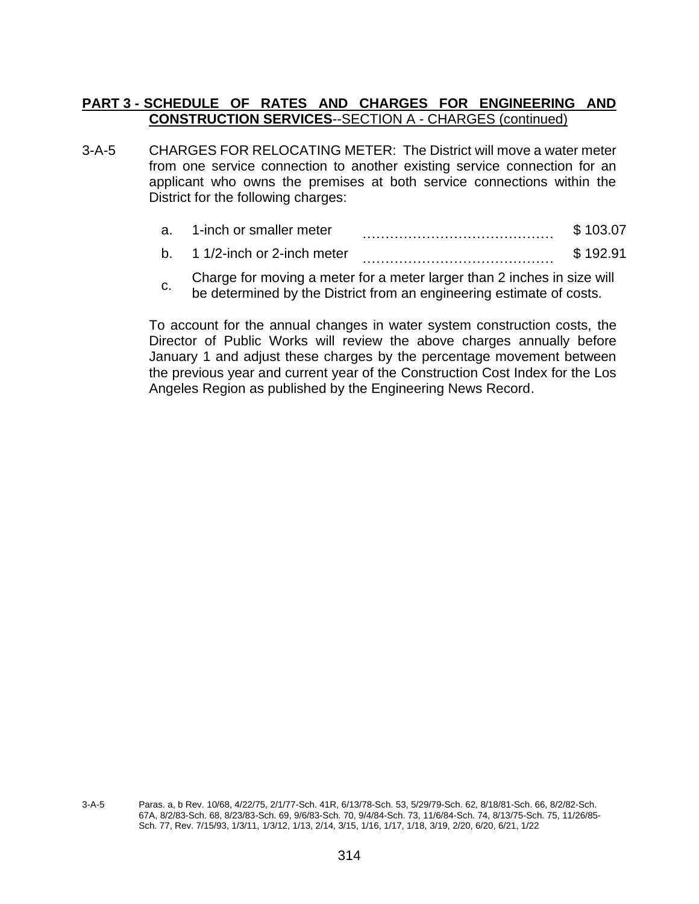- 3-A-5 CHARGES FOR RELOCATING METER: The District will move a water meter from one service connection to another existing service connection for an applicant who owns the premises at both service connections within the District for the following charges:
	- a. 1-inch or smaller meter …………………………………… \$ 103.07
	- b. 1 1/2-inch or 2-inch meter …………………………………… \$ 192.91
	- c. Charge for moving a meter for a meter larger than 2 inches in size will be determined by the District from an engineering estimate of costs.

To account for the annual changes in water system construction costs, the Director of Public Works will review the above charges annually before January 1 and adjust these charges by the percentage movement between the previous year and current year of the Construction Cost Index for the Los Angeles Region as published by the Engineering News Record.

3-A-5 Paras. a, b Rev. 10/68, 4/22/75, 2/1/77-Sch. 41R, 6/13/78-Sch. 53, 5/29/79-Sch. 62, 8/18/81-Sch. 66, 8/2/82-Sch. 67A, 8/2/83-Sch. 68, 8/23/83-Sch. 69, 9/6/83-Sch. 70, 9/4/84-Sch. 73, 11/6/84-Sch. 74, 8/13/75-Sch. 75, 11/26/85- Sch. 77, Rev. 7/15/93, 1/3/11, 1/3/12, 1/13, 2/14, 3/15, 1/16, 1/17, 1/18, 3/19, 2/20, 6/20, 6/21, 1/22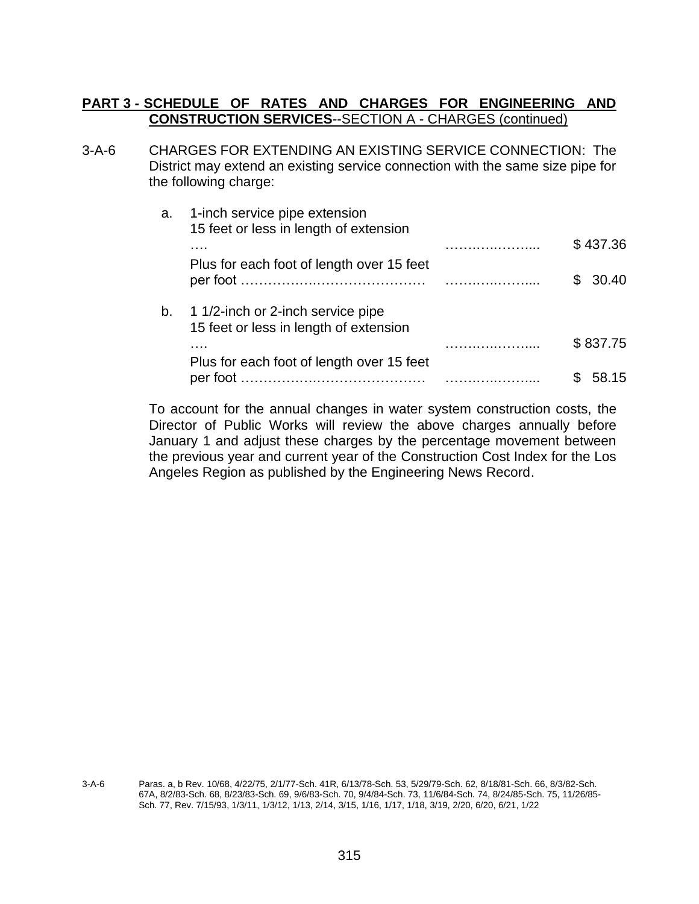| $3-A-6$ | CHARGES FOR EXTENDING AN EXISTING SERVICE CONNECTION: The                      |
|---------|--------------------------------------------------------------------------------|
|         | District may extend an existing service connection with the same size pipe for |
|         | the following charge:                                                          |

| а. | 1-inch service pipe extension<br>15 feet or less in length of extension     |          |
|----|-----------------------------------------------------------------------------|----------|
|    | .                                                                           | \$437.36 |
|    | Plus for each foot of length over 15 feet                                   | 30.40    |
| b. | 1 1/2-inch or 2-inch service pipe<br>15 feet or less in length of extension |          |
|    | .                                                                           | \$837.75 |
|    | Plus for each foot of length over 15 feet<br>per foot                       |          |
|    |                                                                             |          |

To account for the annual changes in water system construction costs, the Director of Public Works will review the above charges annually before January 1 and adjust these charges by the percentage movement between the previous year and current year of the Construction Cost Index for the Los Angeles Region as published by the Engineering News Record.

3-A-6 Paras. a, b Rev. 10/68, 4/22/75, 2/1/77-Sch. 41R, 6/13/78-Sch. 53, 5/29/79-Sch. 62, 8/18/81-Sch. 66, 8/3/82-Sch. 67A, 8/2/83-Sch. 68, 8/23/83-Sch. 69, 9/6/83-Sch. 70, 9/4/84-Sch. 73, 11/6/84-Sch. 74, 8/24/85-Sch. 75, 11/26/85- Sch. 77, Rev. 7/15/93, 1/3/11, 1/3/12, 1/13, 2/14, 3/15, 1/16, 1/17, 1/18, 3/19, 2/20, 6/20, 6/21, 1/22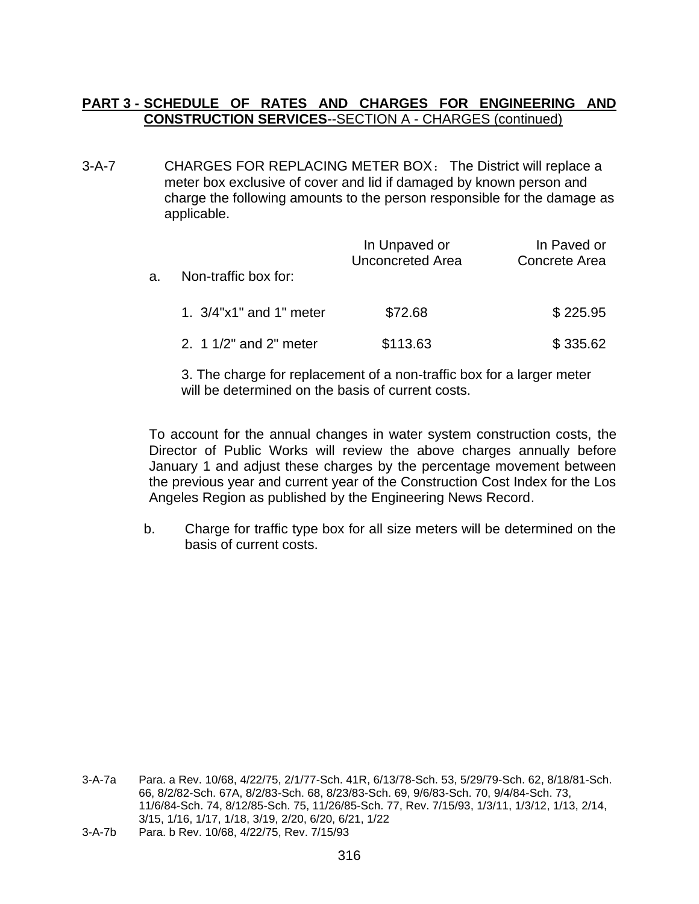3-A-7 CHARGES FOR REPLACING METER BOX: The District will replace a meter box exclusive of cover and lid if damaged by known person and charge the following amounts to the person responsible for the damage as applicable.

| a. | Non-traffic box for:                | In Unpaved or<br><b>Unconcreted Area</b> | In Paved or<br>Concrete Area |
|----|-------------------------------------|------------------------------------------|------------------------------|
|    | 1. $3/4$ " $\times$ 1" and 1" meter | \$72.68                                  | \$225.95                     |
|    | 2. $1/2$ and $2$ meter              | \$113.63                                 | \$335.62                     |

3. The charge for replacement of a non-traffic box for a larger meter will be determined on the basis of current costs.

To account for the annual changes in water system construction costs, the Director of Public Works will review the above charges annually before January 1 and adjust these charges by the percentage movement between the previous year and current year of the Construction Cost Index for the Los Angeles Region as published by the Engineering News Record.

b. Charge for traffic type box for all size meters will be determined on the basis of current costs.

<sup>3-</sup>A-7a Para. a Rev. 10/68, 4/22/75, 2/1/77-Sch. 41R, 6/13/78-Sch. 53, 5/29/79-Sch. 62, 8/18/81-Sch. 66, 8/2/82-Sch. 67A, 8/2/83-Sch. 68, 8/23/83-Sch. 69, 9/6/83-Sch. 70, 9/4/84-Sch. 73, 11/6/84-Sch. 74, 8/12/85-Sch. 75, 11/26/85-Sch. 77, Rev. 7/15/93, 1/3/11, 1/3/12, 1/13, 2/14, 3/15, 1/16, 1/17, 1/18, 3/19, 2/20, 6/20, 6/21, 1/22

<sup>3-</sup>A-7b Para. b Rev. 10/68, 4/22/75, Rev. 7/15/93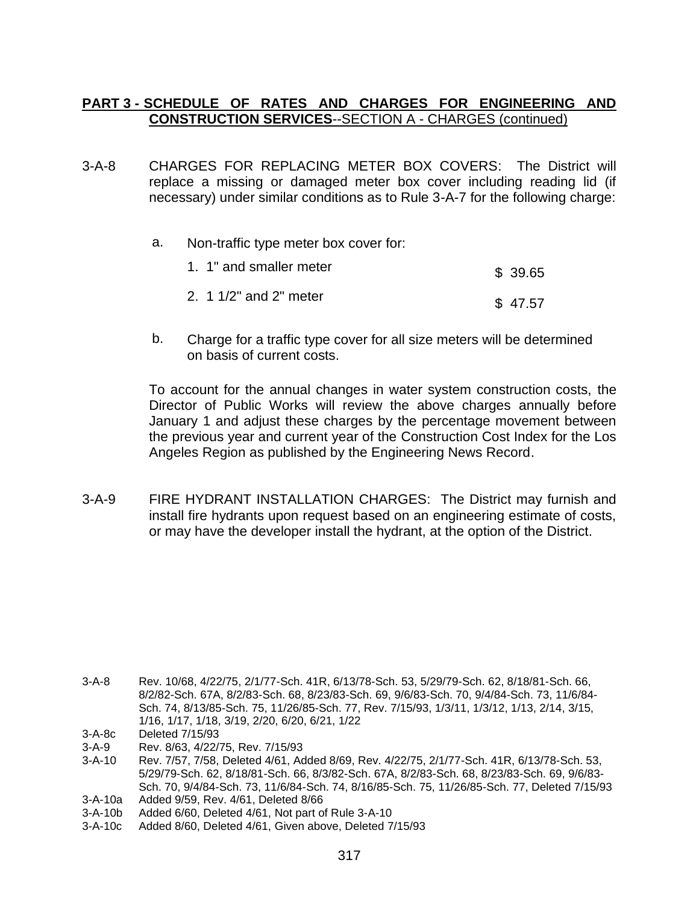- 3-A-8 CHARGES FOR REPLACING METER BOX COVERS: The District will replace a missing or damaged meter box cover including reading lid (if necessary) under similar conditions as to Rule 3-A-7 for the following charge:
	- a. Non-traffic type meter box cover for:

| 1. 1" and smaller meter | \$39.65 |
|-------------------------|---------|
|                         |         |

- 2. 1 1/2" and 2" meter \$ 47.57
- b. Charge for a traffic type cover for all size meters will be determined on basis of current costs.

To account for the annual changes in water system construction costs, the Director of Public Works will review the above charges annually before January 1 and adjust these charges by the percentage movement between the previous year and current year of the Construction Cost Index for the Los Angeles Region as published by the Engineering News Record.

3-A-9 FIRE HYDRANT INSTALLATION CHARGES: The District may furnish and install fire hydrants upon request based on an engineering estimate of costs, or may have the developer install the hydrant, at the option of the District.

- 3-A-9 Rev. 8/63, 4/22/75, Rev. 7/15/93
- 3-A-10 Rev. 7/57, 7/58, Deleted 4/61, Added 8/69, Rev. 4/22/75, 2/1/77-Sch. 41R, 6/13/78-Sch. 53, 5/29/79-Sch. 62, 8/18/81-Sch. 66, 8/3/82-Sch. 67A, 8/2/83-Sch. 68, 8/23/83-Sch. 69, 9/6/83- Sch. 70, 9/4/84-Sch. 73, 11/6/84-Sch. 74, 8/16/85-Sch. 75, 11/26/85-Sch. 77, Deleted 7/15/93
- 3-A-10a Added 9/59, Rev. 4/61, Deleted 8/66
- 3-A-10b Added 6/60, Deleted 4/61, Not part of Rule 3-A-10
- 3-A-10c Added 8/60, Deleted 4/61, Given above, Deleted 7/15/93

<sup>3-</sup>A-8 Rev. 10/68, 4/22/75, 2/1/77-Sch. 41R, 6/13/78-Sch. 53, 5/29/79-Sch. 62, 8/18/81-Sch. 66, 8/2/82-Sch. 67A, 8/2/83-Sch. 68, 8/23/83-Sch. 69, 9/6/83-Sch. 70, 9/4/84-Sch. 73, 11/6/84- Sch. 74, 8/13/85-Sch. 75, 11/26/85-Sch. 77, Rev. 7/15/93, 1/3/11, 1/3/12, 1/13, 2/14, 3/15, 1/16, 1/17, 1/18, 3/19, 2/20, 6/20, 6/21, 1/22

<sup>3-</sup>A-8c Deleted 7/15/93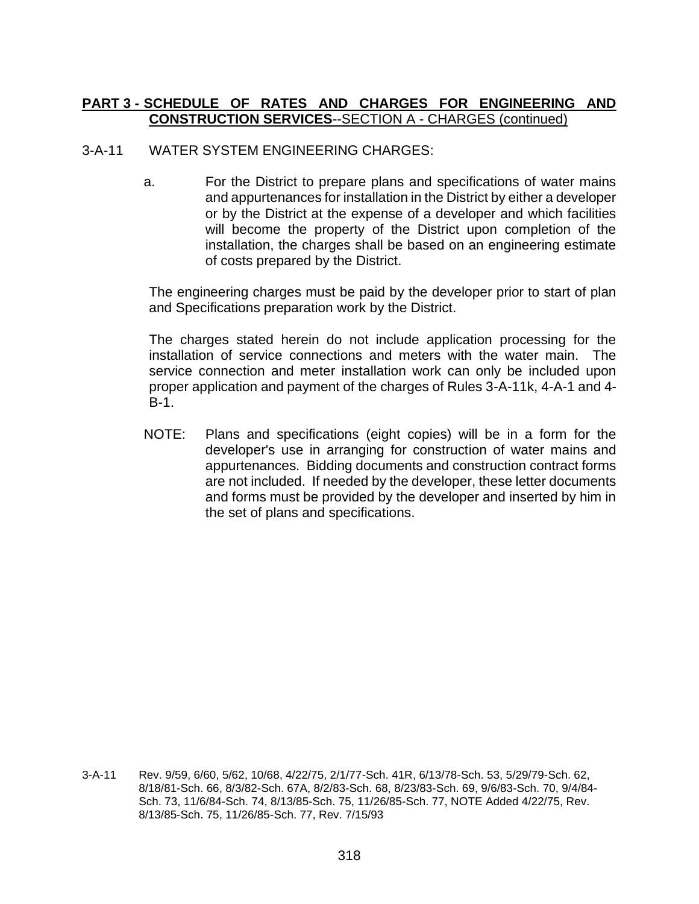#### 3-A-11 WATER SYSTEM ENGINEERING CHARGES:

a. For the District to prepare plans and specifications of water mains and appurtenances for installation in the District by either a developer or by the District at the expense of a developer and which facilities will become the property of the District upon completion of the installation, the charges shall be based on an engineering estimate of costs prepared by the District.

The engineering charges must be paid by the developer prior to start of plan and Specifications preparation work by the District.

The charges stated herein do not include application processing for the installation of service connections and meters with the water main. The service connection and meter installation work can only be included upon proper application and payment of the charges of Rules 3-A-11k, 4-A-1 and 4- B-1.

NOTE: Plans and specifications (eight copies) will be in a form for the developer's use in arranging for construction of water mains and appurtenances. Bidding documents and construction contract forms are not included. If needed by the developer, these letter documents and forms must be provided by the developer and inserted by him in the set of plans and specifications.

<sup>3-</sup>A-11 Rev. 9/59, 6/60, 5/62, 10/68, 4/22/75, 2/1/77-Sch. 41R, 6/13/78-Sch. 53, 5/29/79-Sch. 62, 8/18/81-Sch. 66, 8/3/82-Sch. 67A, 8/2/83-Sch. 68, 8/23/83-Sch. 69, 9/6/83-Sch. 70, 9/4/84- Sch. 73, 11/6/84-Sch. 74, 8/13/85-Sch. 75, 11/26/85-Sch. 77, NOTE Added 4/22/75, Rev. 8/13/85-Sch. 75, 11/26/85-Sch. 77, Rev. 7/15/93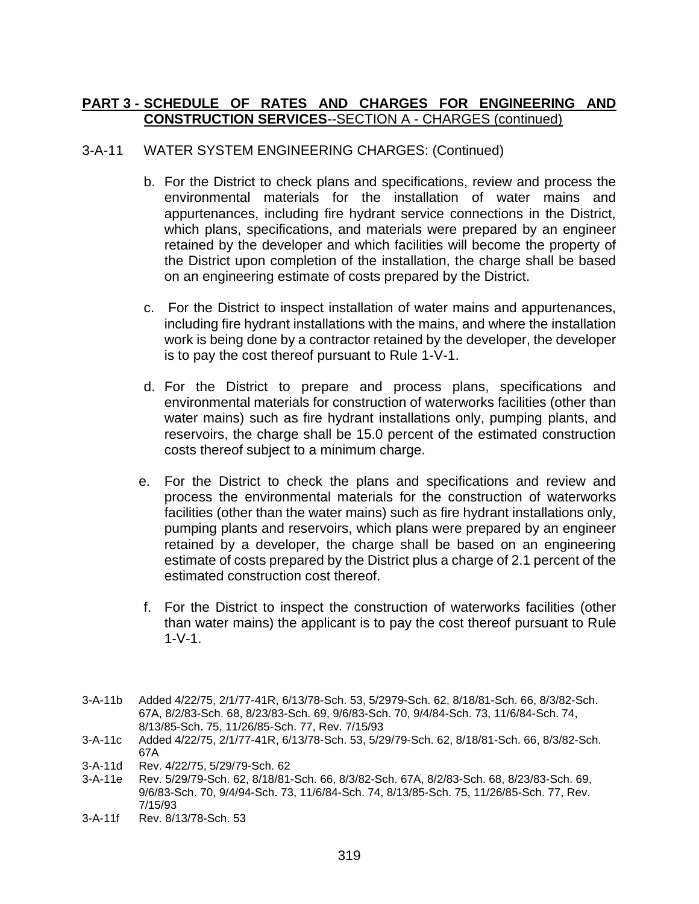### 3-A-11 WATER SYSTEM ENGINEERING CHARGES: (Continued)

- b. For the District to check plans and specifications, review and process the environmental materials for the installation of water mains and appurtenances, including fire hydrant service connections in the District, which plans, specifications, and materials were prepared by an engineer retained by the developer and which facilities will become the property of the District upon completion of the installation, the charge shall be based on an engineering estimate of costs prepared by the District.
- c. For the District to inspect installation of water mains and appurtenances, including fire hydrant installations with the mains, and where the installation work is being done by a contractor retained by the developer, the developer is to pay the cost thereof pursuant to Rule 1-V-1.
- d. For the District to prepare and process plans, specifications and environmental materials for construction of waterworks facilities (other than water mains) such as fire hydrant installations only, pumping plants, and reservoirs, the charge shall be 15.0 percent of the estimated construction costs thereof subject to a minimum charge.
- e. For the District to check the plans and specifications and review and process the environmental materials for the construction of waterworks facilities (other than the water mains) such as fire hydrant installations only, pumping plants and reservoirs, which plans were prepared by an engineer retained by a developer, the charge shall be based on an engineering estimate of costs prepared by the District plus a charge of 2.1 percent of the estimated construction cost thereof.
- f. For the District to inspect the construction of waterworks facilities (other than water mains) the applicant is to pay the cost thereof pursuant to Rule 1-V-1.

- 3-A-11d Rev. 4/22/75, 5/29/79-Sch. 62
- 3-A-11e Rev. 5/29/79-Sch. 62, 8/18/81-Sch. 66, 8/3/82-Sch. 67A, 8/2/83-Sch. 68, 8/23/83-Sch. 69, 9/6/83-Sch. 70, 9/4/94-Sch. 73, 11/6/84-Sch. 74, 8/13/85-Sch. 75, 11/26/85-Sch. 77, Rev. 7/15/93
- 3-A-11f Rev. 8/13/78-Sch. 53

<sup>3-</sup>A-11b Added 4/22/75, 2/1/77-41R, 6/13/78-Sch. 53, 5/2979-Sch. 62, 8/18/81-Sch. 66, 8/3/82-Sch. 67A, 8/2/83-Sch. 68, 8/23/83-Sch. 69, 9/6/83-Sch. 70, 9/4/84-Sch. 73, 11/6/84-Sch. 74, 8/13/85-Sch. 75, 11/26/85-Sch. 77, Rev. 7/15/93

<sup>3-</sup>A-11c Added 4/22/75, 2/1/77-41R, 6/13/78-Sch. 53, 5/29/79-Sch. 62, 8/18/81-Sch. 66, 8/3/82-Sch. 67A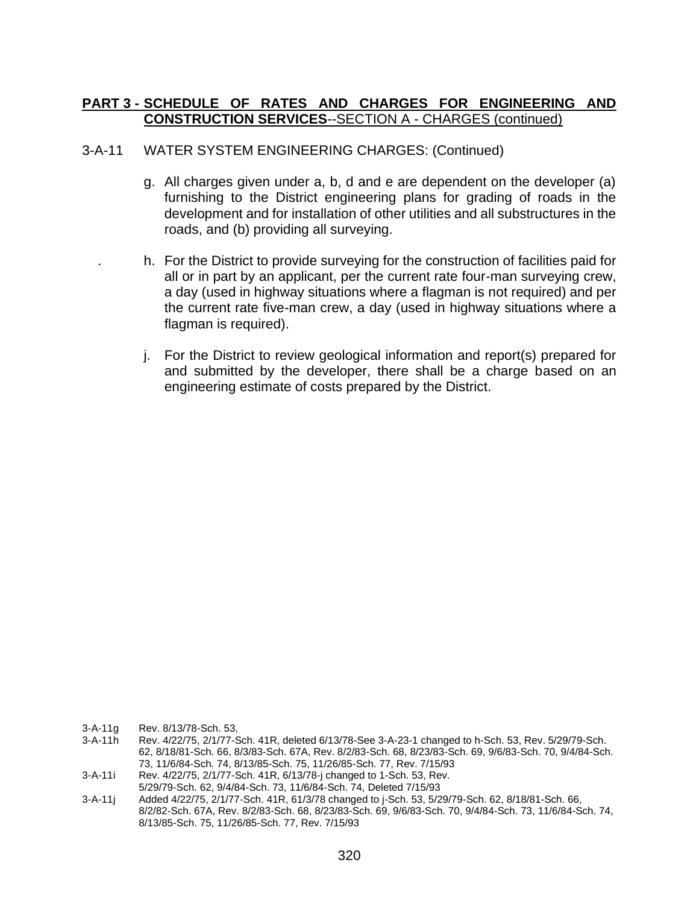## 3-A-11 WATER SYSTEM ENGINEERING CHARGES: (Continued)

- g. All charges given under a, b, d and e are dependent on the developer (a) furnishing to the District engineering plans for grading of roads in the development and for installation of other utilities and all substructures in the roads, and (b) providing all surveying.
- . h. For the District to provide surveying for the construction of facilities paid for all or in part by an applicant, per the current rate four-man surveying crew, a day (used in highway situations where a flagman is not required) and per the current rate five-man crew, a day (used in highway situations where a flagman is required).
- j. For the District to review geological information and report(s) prepared for and submitted by the developer, there shall be a charge based on an engineering estimate of costs prepared by the District.

- 3-A-11g Rev. 8/13/78-Sch. 53,
- 3-A-11h Rev. 4/22/75, 2/1/77-Sch. 41R, deleted 6/13/78-See 3-A-23-1 changed to h-Sch. 53, Rev. 5/29/79-Sch. 62, 8/18/81-Sch. 66, 8/3/83-Sch. 67A, Rev. 8/2/83-Sch. 68, 8/23/83-Sch. 69, 9/6/83-Sch. 70, 9/4/84-Sch. 73, 11/6/84-Sch. 74, 8/13/85-Sch. 75, 11/26/85-Sch. 77, Rev. 7/15/93
- 3-A-11i Rev. 4/22/75, 2/1/77-Sch. 41R, 6/13/78-j changed to 1-Sch. 53, Rev. 5/29/79-Sch. 62, 9/4/84-Sch. 73, 11/6/84-Sch. 74, Deleted 7/15/93
- 3-A-11j Added 4/22/75, 2/1/77-Sch. 41R, 61/3/78 changed to j-Sch. 53, 5/29/79-Sch. 62, 8/18/81-Sch. 66, 8/2/82-Sch. 67A, Rev. 8/2/83-Sch. 68, 8/23/83-Sch. 69, 9/6/83-Sch. 70, 9/4/84-Sch. 73, 11/6/84-Sch. 74, 8/13/85-Sch. 75, 11/26/85-Sch. 77, Rev. 7/15/93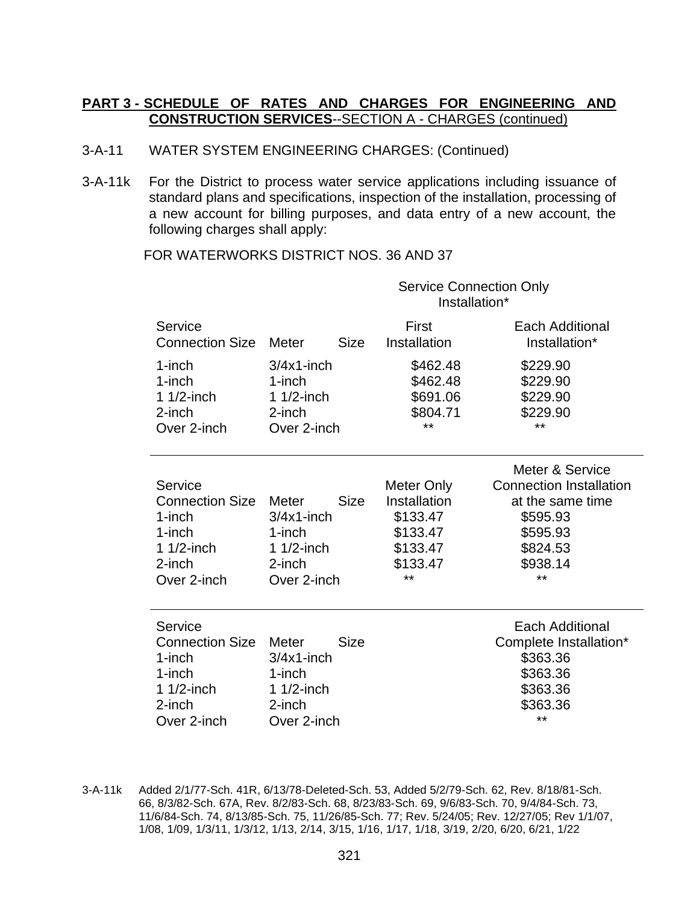- 3-A-11 WATER SYSTEM ENGINEERING CHARGES: (Continued)
- 3-A-11k For the District to process water service applications including issuance of standard plans and specifications, inspection of the installation, processing of a new account for billing purposes, and data entry of a new account, the following charges shall apply:

FOR WATERWORKS DISTRICT NOS. 36 AND 37

|                                                                                                      |                                                                               |             | <b>Service Connection Only</b><br>Installation*                                     |                                                                                                                               |  |
|------------------------------------------------------------------------------------------------------|-------------------------------------------------------------------------------|-------------|-------------------------------------------------------------------------------------|-------------------------------------------------------------------------------------------------------------------------------|--|
| Service<br><b>Connection Size</b>                                                                    | Meter                                                                         | <b>Size</b> | First<br>Installation                                                               | <b>Each Additional</b><br>Installation*                                                                                       |  |
| 1-inch<br>$1$ -inch<br>1 $1/2$ -inch<br>2-inch<br>Over 2-inch                                        | $3/4x1$ -inch<br>$1$ -inch<br>1 $1/2$ -inch<br>2-inch<br>Over 2-inch          |             | \$462.48<br>\$462.48<br>\$691.06<br>\$804.71<br>$***$                               | \$229.90<br>\$229.90<br>\$229.90<br>\$229.90<br>$***$                                                                         |  |
| Service<br><b>Connection Size</b><br>$1$ -inch<br>$1$ -inch<br>$11/2$ -inch<br>2-inch<br>Over 2-inch | Meter<br>$3/4x1$ -inch<br>$1$ -inch<br>1 $1/2$ -inch<br>2-inch<br>Over 2-inch | <b>Size</b> | Meter Only<br>Installation<br>\$133.47<br>\$133.47<br>\$133.47<br>\$133.47<br>$***$ | Meter & Service<br><b>Connection Installation</b><br>at the same time<br>\$595.93<br>\$595.93<br>\$824.53<br>\$938.14<br>$**$ |  |
| Service<br><b>Connection Size</b><br>1-inch<br>$1$ -inch<br>1 $1/2$ -inch<br>2-inch<br>Over 2-inch   | Meter<br>$3/4x1$ -inch<br>$1$ -inch<br>1 $1/2$ -inch<br>2-inch<br>Over 2-inch | <b>Size</b> |                                                                                     | <b>Each Additional</b><br>Complete Installation*<br>\$363.36<br>\$363.36<br>\$363.36<br>\$363.36<br>**                        |  |

3-A-11k Added 2/1/77-Sch. 41R, 6/13/78-Deleted-Sch. 53, Added 5/2/79-Sch. 62, Rev. 8/18/81-Sch. 66, 8/3/82-Sch. 67A, Rev. 8/2/83-Sch. 68, 8/23/83-Sch. 69, 9/6/83-Sch. 70, 9/4/84-Sch. 73, 11/6/84-Sch. 74, 8/13/85-Sch. 75, 11/26/85-Sch. 77; Rev. 5/24/05; Rev. 12/27/05; Rev 1/1/07, 1/08, 1/09, 1/3/11, 1/3/12, 1/13, 2/14, 3/15, 1/16, 1/17, 1/18, 3/19, 2/20, 6/20, 6/21, 1/22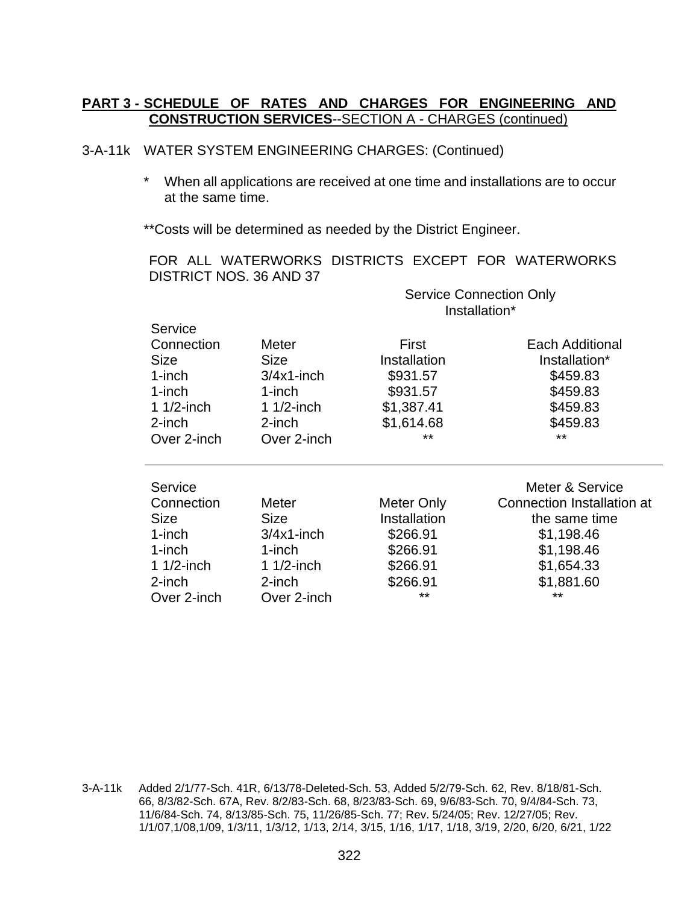#### 3-A-11k WATER SYSTEM ENGINEERING CHARGES: (Continued)

\* When all applications are received at one time and installations are to occur at the same time.

\*\*Costs will be determined as needed by the District Engineer.

FOR ALL WATERWORKS DISTRICTS EXCEPT FOR WATERWORKS DISTRICT NOS. 36 AND 37

|               |               | <b>Service Connection Only</b><br>Installation* |                            |  |
|---------------|---------------|-------------------------------------------------|----------------------------|--|
| Service       |               |                                                 |                            |  |
| Connection    | Meter         | First                                           | Each Additional            |  |
| <b>Size</b>   | Size          | Installation                                    | Installation*              |  |
| $1$ -inch     | $3/4x1$ -inch | \$931.57                                        | \$459.83                   |  |
| 1-inch        | 1-inch        | \$931.57                                        | \$459.83                   |  |
| 1 $1/2$ -inch | 1 $1/2$ -inch | \$1,387.41                                      | \$459.83                   |  |
| 2-inch        | 2-inch        | \$1,614.68                                      | \$459.83                   |  |
| Over 2-inch   | Over 2-inch   | **                                              | **                         |  |
| Service       |               |                                                 | Meter & Service            |  |
| Connection    | Meter         | Meter Only                                      | Connection Installation at |  |
| <b>Size</b>   | Size          | Installation                                    | the same time              |  |
| $1$ -inch     | $3/4x1$ -inch | \$266.91                                        | \$1,198.46                 |  |
| $1$ -inch     | 1-inch        | \$266.91                                        | \$1,198.46                 |  |
| 1 $1/2$ -inch | 1 $1/2$ -inch | \$266.91                                        | \$1,654.33                 |  |
| 2-inch        | 2-inch        | \$266.91                                        | \$1,881.60                 |  |
| Over 2-inch   | Over 2-inch   | **                                              | **                         |  |

<sup>3-</sup>A-11k Added 2/1/77-Sch. 41R, 6/13/78-Deleted-Sch. 53, Added 5/2/79-Sch. 62, Rev. 8/18/81-Sch. 66, 8/3/82-Sch. 67A, Rev. 8/2/83-Sch. 68, 8/23/83-Sch. 69, 9/6/83-Sch. 70, 9/4/84-Sch. 73, 11/6/84-Sch. 74, 8/13/85-Sch. 75, 11/26/85-Sch. 77; Rev. 5/24/05; Rev. 12/27/05; Rev. 1/1/07,1/08,1/09, 1/3/11, 1/3/12, 1/13, 2/14, 3/15, 1/16, 1/17, 1/18, 3/19, 2/20, 6/20, 6/21, 1/22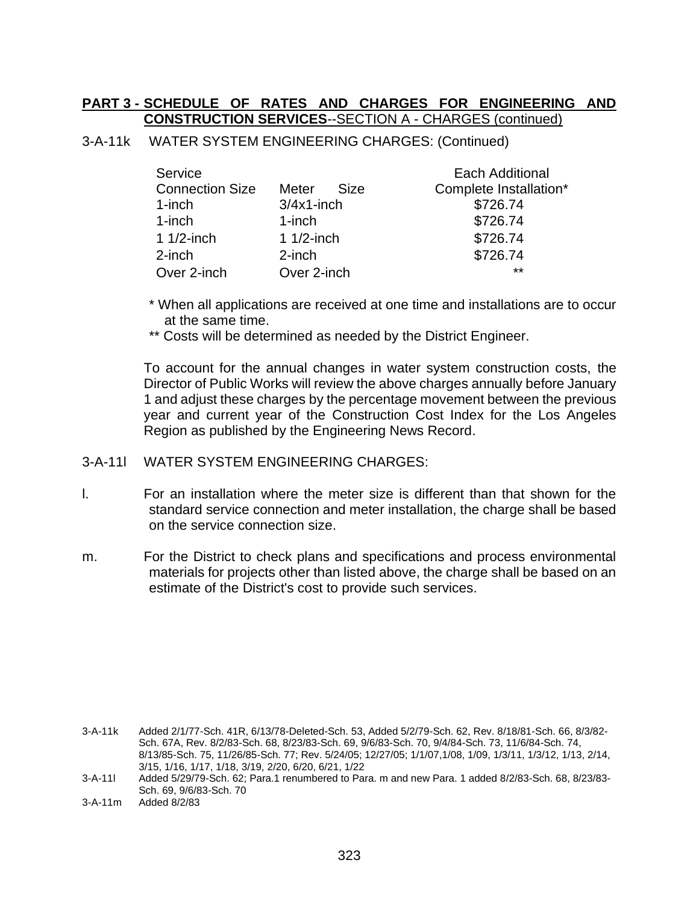3-A-11k WATER SYSTEM ENGINEERING CHARGES: (Continued)

| Service                |                      | <b>Each Additional</b> |
|------------------------|----------------------|------------------------|
| <b>Connection Size</b> | Meter<br><b>Size</b> | Complete Installation* |
| 1-inch                 | $3/4x1$ -inch        | \$726.74               |
| $1$ -inch              | $1$ -inch            | \$726.74               |
| 1 $1/2$ -inch          | 1 $1/2$ -inch        | \$726.74               |
| 2-inch                 | $2$ -inch            | \$726.74               |
| Over 2-inch            | Over 2-inch          | $***$                  |

- \* When all applications are received at one time and installations are to occur at the same time.
- \*\* Costs will be determined as needed by the District Engineer.

To account for the annual changes in water system construction costs, the Director of Public Works will review the above charges annually before January 1 and adjust these charges by the percentage movement between the previous year and current year of the Construction Cost Index for the Los Angeles Region as published by the Engineering News Record.

#### 3-A-11l WATER SYSTEM ENGINEERING CHARGES:

- l. For an installation where the meter size is different than that shown for the standard service connection and meter installation, the charge shall be based on the service connection size.
- m. For the District to check plans and specifications and process environmental materials for projects other than listed above, the charge shall be based on an estimate of the District's cost to provide such services.

<sup>3-</sup>A-11k Added 2/1/77-Sch. 41R, 6/13/78-Deleted-Sch. 53, Added 5/2/79-Sch. 62, Rev. 8/18/81-Sch. 66, 8/3/82- Sch. 67A, Rev. 8/2/83-Sch. 68, 8/23/83-Sch. 69, 9/6/83-Sch. 70, 9/4/84-Sch. 73, 11/6/84-Sch. 74, 8/13/85-Sch. 75, 11/26/85-Sch. 77; Rev. 5/24/05; 12/27/05; 1/1/07,1/08, 1/09, 1/3/11, 1/3/12, 1/13, 2/14, 3/15, 1/16, 1/17, 1/18, 3/19, 2/20, 6/20, 6/21, 1/22

<sup>3-</sup>A-11l Added 5/29/79-Sch. 62; Para.1 renumbered to Para. m and new Para. 1 added 8/2/83-Sch. 68, 8/23/83- Sch. 69, 9/6/83-Sch. 70

<sup>3-</sup>A-11m Added 8/2/83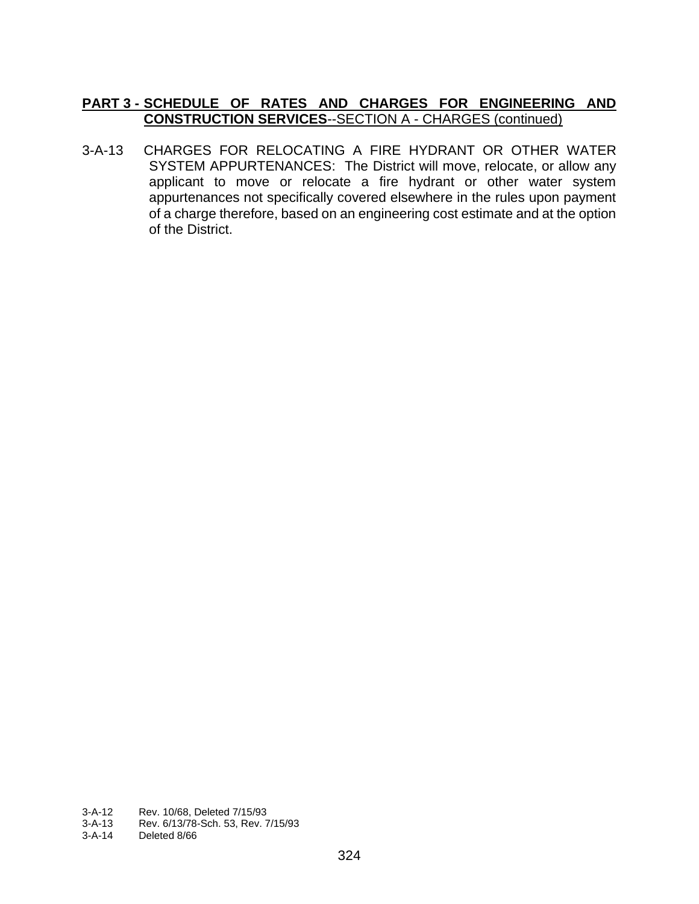3-A-13 CHARGES FOR RELOCATING A FIRE HYDRANT OR OTHER WATER SYSTEM APPURTENANCES: The District will move, relocate, or allow any applicant to move or relocate a fire hydrant or other water system appurtenances not specifically covered elsewhere in the rules upon payment of a charge therefore, based on an engineering cost estimate and at the option of the District.

3-A-12 Rev. 10/68, Deleted 7/15/93<br>3-A-13 Rev. 6/13/78-Sch. 53. Rev. 7

3-A-13 Rev. 6/13/78-Sch. 53, Rev. 7/15/93

Deleted 8/66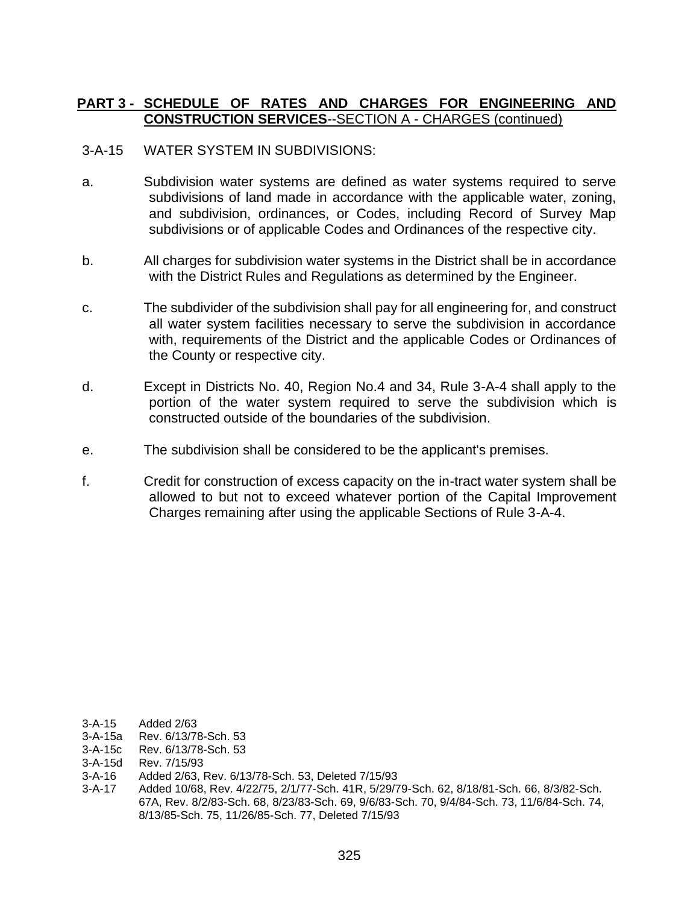#### 3-A-15 WATER SYSTEM IN SUBDIVISIONS:

- a. Subdivision water systems are defined as water systems required to serve subdivisions of land made in accordance with the applicable water, zoning, and subdivision, ordinances, or Codes, including Record of Survey Map subdivisions or of applicable Codes and Ordinances of the respective city.
- b. All charges for subdivision water systems in the District shall be in accordance with the District Rules and Regulations as determined by the Engineer.
- c. The subdivider of the subdivision shall pay for all engineering for, and construct all water system facilities necessary to serve the subdivision in accordance with, requirements of the District and the applicable Codes or Ordinances of the County or respective city.
- d. Except in Districts No. 40, Region No.4 and 34, Rule 3-A-4 shall apply to the portion of the water system required to serve the subdivision which is constructed outside of the boundaries of the subdivision.
- e. The subdivision shall be considered to be the applicant's premises.
- f. Credit for construction of excess capacity on the in-tract water system shall be allowed to but not to exceed whatever portion of the Capital Improvement Charges remaining after using the applicable Sections of Rule 3-A-4.

- 3-A-15a Rev. 6/13/78-Sch. 53
- 3-A-15c Rev. 6/13/78-Sch. 53
- 3-A-15d Rev. 7/15/93
- 3-A-16 Added 2/63, Rev. 6/13/78-Sch. 53, Deleted 7/15/93
- 3-A-17 Added 10/68, Rev. 4/22/75, 2/1/77-Sch. 41R, 5/29/79-Sch. 62, 8/18/81-Sch. 66, 8/3/82-Sch. 67A, Rev. 8/2/83-Sch. 68, 8/23/83-Sch. 69, 9/6/83-Sch. 70, 9/4/84-Sch. 73, 11/6/84-Sch. 74, 8/13/85-Sch. 75, 11/26/85-Sch. 77, Deleted 7/15/93

<sup>3-</sup>A-15 Added 2/63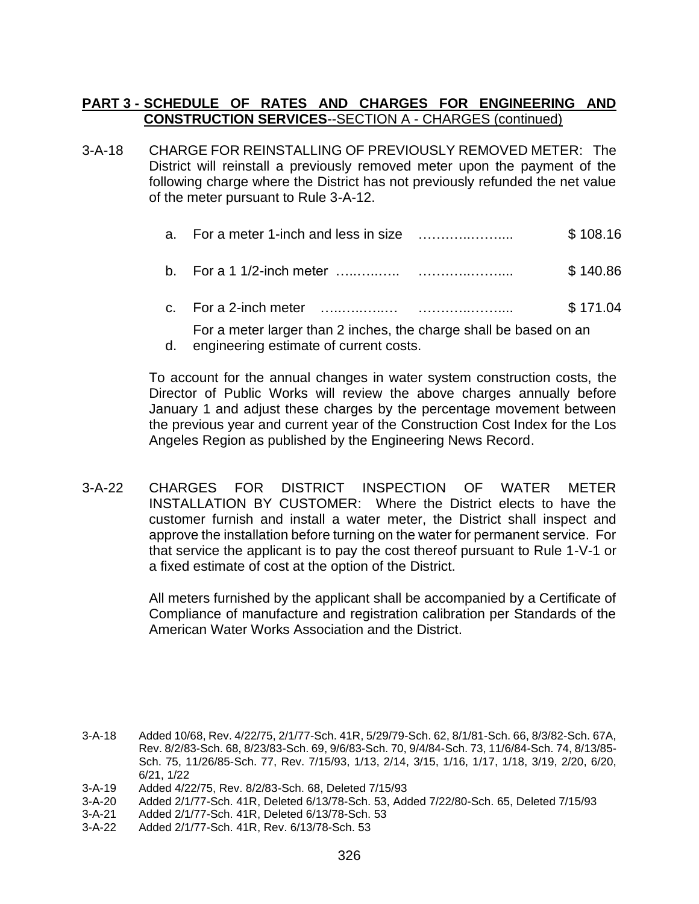- 3-A-18 CHARGE FOR REINSTALLING OF PREVIOUSLY REMOVED METER: The District will reinstall a previously removed meter upon the payment of the following charge where the District has not previously refunded the net value of the meter pursuant to Rule 3-A-12.
	- a. For a meter 1-inch and less in size …….…..…….... \$ 108.16
	- b. For a 1 1/2-inch meter …..…..….. …….…..…….... \$ 140.86
	- c. For a 2-inch meter …..…..…..… …….…..…….... \$ 171.04

For a meter larger than 2 inches, the charge shall be based on an

d. engineering estimate of current costs.

To account for the annual changes in water system construction costs, the Director of Public Works will review the above charges annually before January 1 and adjust these charges by the percentage movement between the previous year and current year of the Construction Cost Index for the Los Angeles Region as published by the Engineering News Record.

3-A-22 CHARGES FOR DISTRICT INSPECTION OF WATER METER INSTALLATION BY CUSTOMER: Where the District elects to have the customer furnish and install a water meter, the District shall inspect and approve the installation before turning on the water for permanent service. For that service the applicant is to pay the cost thereof pursuant to Rule 1-V-1 or a fixed estimate of cost at the option of the District.

> All meters furnished by the applicant shall be accompanied by a Certificate of Compliance of manufacture and registration calibration per Standards of the American Water Works Association and the District.

- 3-A-18 Added 10/68, Rev. 4/22/75, 2/1/77-Sch. 41R, 5/29/79-Sch. 62, 8/1/81-Sch. 66, 8/3/82-Sch. 67A, Rev. 8/2/83-Sch. 68, 8/23/83-Sch. 69, 9/6/83-Sch. 70, 9/4/84-Sch. 73, 11/6/84-Sch. 74, 8/13/85- Sch. 75, 11/26/85-Sch. 77, Rev. 7/15/93, 1/13, 2/14, 3/15, 1/16, 1/17, 1/18, 3/19, 2/20, 6/20, 6/21, 1/22
- 3-A-19 Added 4/22/75, Rev. 8/2/83-Sch. 68, Deleted 7/15/93
- 3-A-20 Added 2/1/77-Sch. 41R, Deleted 6/13/78-Sch. 53, Added 7/22/80-Sch. 65, Deleted 7/15/93
- Added 2/1/77-Sch. 41R, Deleted 6/13/78-Sch. 53
- 3-A-22 Added 2/1/77-Sch. 41R, Rev. 6/13/78-Sch. 53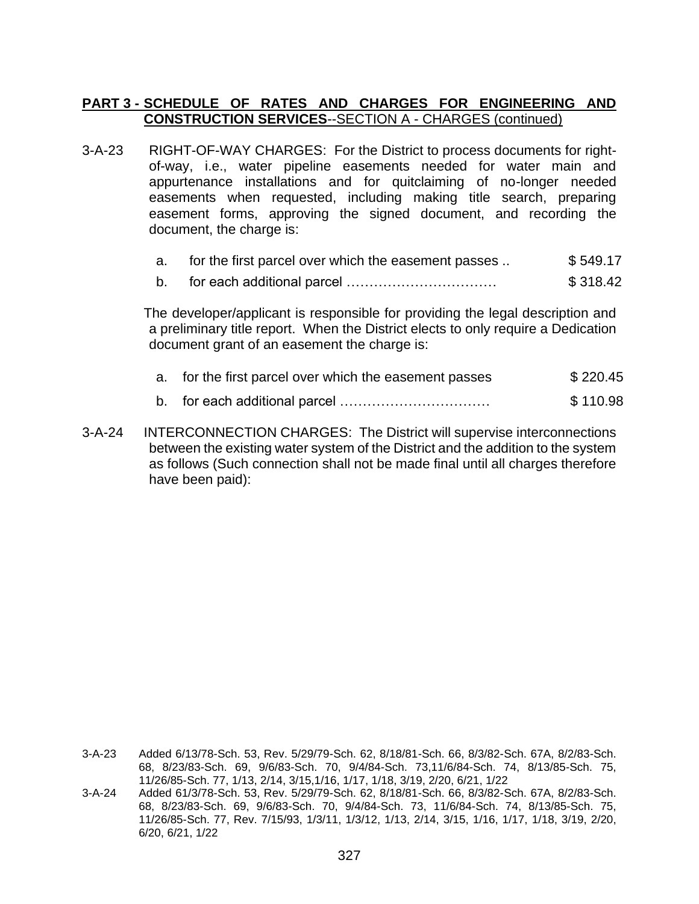- 3-A-23 RIGHT-OF-WAY CHARGES: For the District to process documents for rightof-way, i.e., water pipeline easements needed for water main and appurtenance installations and for quitclaiming of no-longer needed easements when requested, including making title search, preparing easement forms, approving the signed document, and recording the document, the charge is:
	- a. for the first parcel over which the easement passes ..  $\frac{1}{2}$  \$ 549.17
	- b. for each additional parcel …………………………… \$ 318.42

The developer/applicant is responsible for providing the legal description and a preliminary title report. When the District elects to only require a Dedication document grant of an easement the charge is:

- a. for the first parcel over which the easement passes \$ 220.45
- b. for each additional parcel …………………………… \$ 110.98
- 3-A-24 INTERCONNECTION CHARGES: The District will supervise interconnections between the existing water system of the District and the addition to the system as follows (Such connection shall not be made final until all charges therefore have been paid):

- 3-A-23 Added 6/13/78-Sch. 53, Rev. 5/29/79-Sch. 62, 8/18/81-Sch. 66, 8/3/82-Sch. 67A, 8/2/83-Sch. 68, 8/23/83-Sch. 69, 9/6/83-Sch. 70, 9/4/84-Sch. 73,11/6/84-Sch. 74, 8/13/85-Sch. 75, 11/26/85-Sch. 77, 1/13, 2/14, 3/15,1/16, 1/17, 1/18, 3/19, 2/20, 6/21, 1/22
- 3-A-24 Added 61/3/78-Sch. 53, Rev. 5/29/79-Sch. 62, 8/18/81-Sch. 66, 8/3/82-Sch. 67A, 8/2/83-Sch. 68, 8/23/83-Sch. 69, 9/6/83-Sch. 70, 9/4/84-Sch. 73, 11/6/84-Sch. 74, 8/13/85-Sch. 75, 11/26/85-Sch. 77, Rev. 7/15/93, 1/3/11, 1/3/12, 1/13, 2/14, 3/15, 1/16, 1/17, 1/18, 3/19, 2/20, 6/20, 6/21, 1/22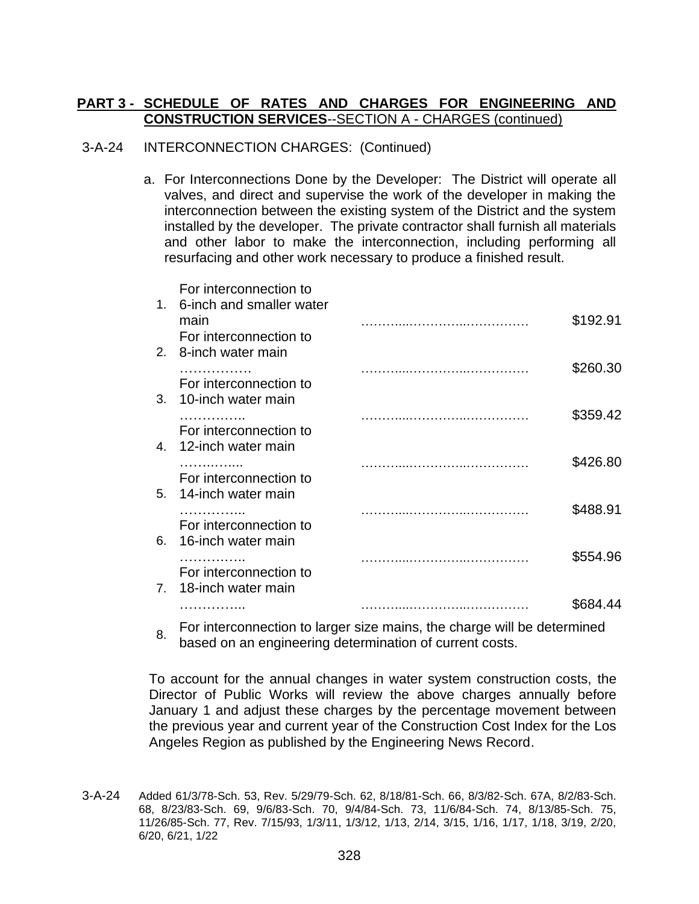### 3-A-24 INTERCONNECTION CHARGES: (Continued)

a. For Interconnections Done by the Developer: The District will operate all valves, and direct and supervise the work of the developer in making the interconnection between the existing system of the District and the system installed by the developer. The private contractor shall furnish all materials and other labor to make the interconnection, including performing all resurfacing and other work necessary to produce a finished result.

|    | For interconnection to<br>1. 6-inch and smaller water<br>main<br>For interconnection to<br>2. 8-inch water main | \$192.91 |
|----|-----------------------------------------------------------------------------------------------------------------|----------|
|    | For interconnection to<br>3. 10-inch water main                                                                 | \$260.30 |
|    | For interconnection to<br>4. 12-inch water main                                                                 | \$359.42 |
|    | For interconnection to<br>5. 14-inch water main                                                                 | \$426.80 |
| 6. | For interconnection to<br>16-inch water main                                                                    | \$488.91 |
|    | For interconnection to                                                                                          | \$554.96 |
|    | 7. 18-inch water main                                                                                           | \$684.44 |

8. For interconnection to larger size mains, the charge will be determined based on an engineering determination of current costs.

To account for the annual changes in water system construction costs, the Director of Public Works will review the above charges annually before January 1 and adjust these charges by the percentage movement between the previous year and current year of the Construction Cost Index for the Los Angeles Region as published by the Engineering News Record.

<sup>3-</sup>A-24 Added 61/3/78-Sch. 53, Rev. 5/29/79-Sch. 62, 8/18/81-Sch. 66, 8/3/82-Sch. 67A, 8/2/83-Sch. 68, 8/23/83-Sch. 69, 9/6/83-Sch. 70, 9/4/84-Sch. 73, 11/6/84-Sch. 74, 8/13/85-Sch. 75, 11/26/85-Sch. 77, Rev. 7/15/93, 1/3/11, 1/3/12, 1/13, 2/14, 3/15, 1/16, 1/17, 1/18, 3/19, 2/20, 6/20, 6/21, 1/22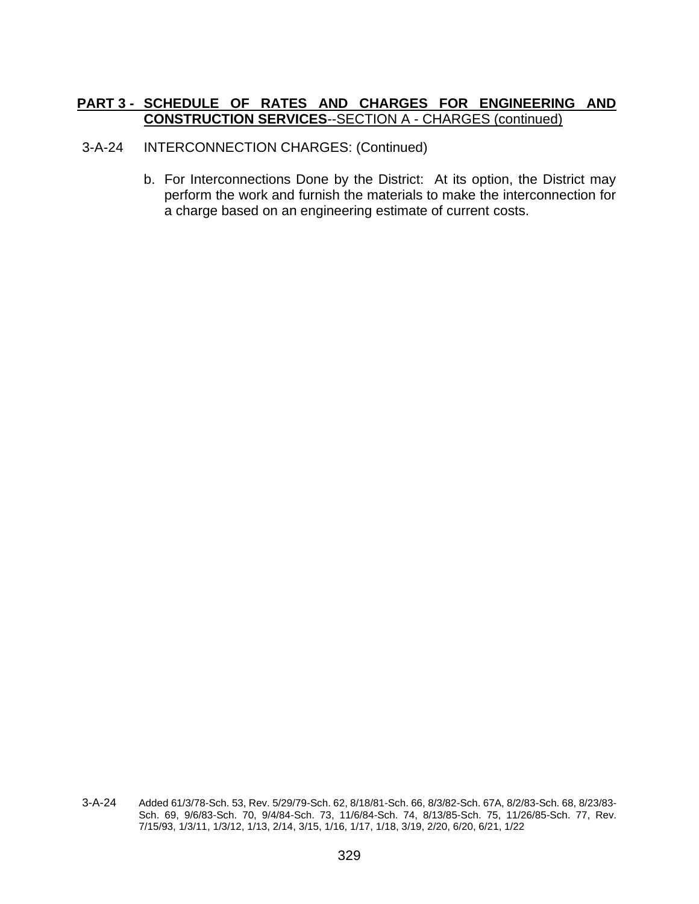- 3-A-24 INTERCONNECTION CHARGES: (Continued)
	- b. For Interconnections Done by the District: At its option, the District may perform the work and furnish the materials to make the interconnection for a charge based on an engineering estimate of current costs.

<sup>3-</sup>A-24 Added 61/3/78-Sch. 53, Rev. 5/29/79-Sch. 62, 8/18/81-Sch. 66, 8/3/82-Sch. 67A, 8/2/83-Sch. 68, 8/23/83- Sch. 69, 9/6/83-Sch. 70, 9/4/84-Sch. 73, 11/6/84-Sch. 74, 8/13/85-Sch. 75, 11/26/85-Sch. 77, Rev. 7/15/93, 1/3/11, 1/3/12, 1/13, 2/14, 3/15, 1/16, 1/17, 1/18, 3/19, 2/20, 6/20, 6/21, 1/22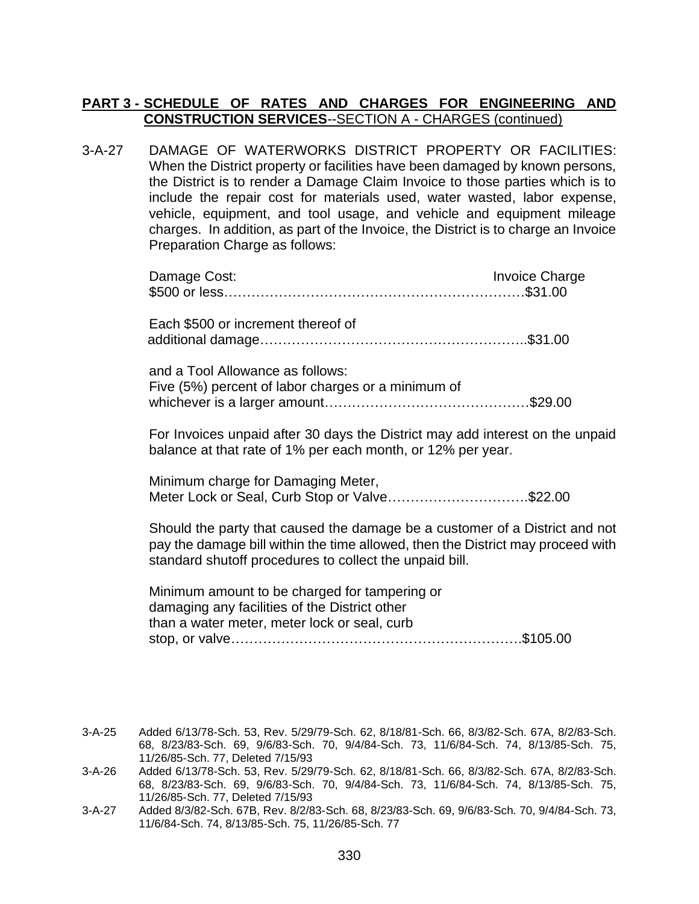3-A-27 DAMAGE OF WATERWORKS DISTRICT PROPERTY OR FACILITIES: When the District property or facilities have been damaged by known persons, the District is to render a Damage Claim Invoice to those parties which is to include the repair cost for materials used, water wasted, labor expense, vehicle, equipment, and tool usage, and vehicle and equipment mileage charges. In addition, as part of the Invoice, the District is to charge an Invoice Preparation Charge as follows:

| Damage Cost: | <b>Invoice Charge</b> |
|--------------|-----------------------|
|              |                       |

Each \$500 or increment thereof of additional damage…………………………………………………..\$31.00

and a Tool Allowance as follows: Five (5%) percent of labor charges or a minimum of whichever is a larger amount………………………………………\$29.00

For Invoices unpaid after 30 days the District may add interest on the unpaid balance at that rate of 1% per each month, or 12% per year.

Minimum charge for Damaging Meter, Meter Lock or Seal, Curb Stop or Valve………………………….\$22.00

Should the party that caused the damage be a customer of a District and not pay the damage bill within the time allowed, then the District may proceed with standard shutoff procedures to collect the unpaid bill.

Minimum amount to be charged for tampering or damaging any facilities of the District other than a water meter, meter lock or seal, curb stop, or valve……………………………………………………….\$105.00

- 3-A-26 Added 6/13/78-Sch. 53, Rev. 5/29/79-Sch. 62, 8/18/81-Sch. 66, 8/3/82-Sch. 67A, 8/2/83-Sch. 68, 8/23/83-Sch. 69, 9/6/83-Sch. 70, 9/4/84-Sch. 73, 11/6/84-Sch. 74, 8/13/85-Sch. 75, 11/26/85-Sch. 77, Deleted 7/15/93
- 3-A-27 Added 8/3/82-Sch. 67B, Rev. 8/2/83-Sch. 68, 8/23/83-Sch. 69, 9/6/83-Sch. 70, 9/4/84-Sch. 73, 11/6/84-Sch. 74, 8/13/85-Sch. 75, 11/26/85-Sch. 77

<sup>3-</sup>A-25 Added 6/13/78-Sch. 53, Rev. 5/29/79-Sch. 62, 8/18/81-Sch. 66, 8/3/82-Sch. 67A, 8/2/83-Sch. 68, 8/23/83-Sch. 69, 9/6/83-Sch. 70, 9/4/84-Sch. 73, 11/6/84-Sch. 74, 8/13/85-Sch. 75, 11/26/85-Sch. 77, Deleted 7/15/93